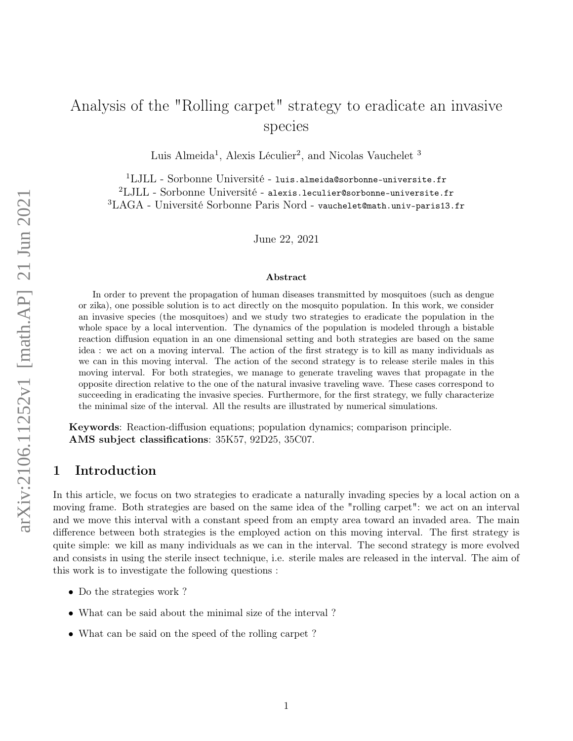# Analysis of the "Rolling carpet" strategy to eradicate an invasive species

Luis Almeida<sup>1</sup>, Alexis Léculier<sup>2</sup>, and Nicolas Vauchelet<sup>3</sup>

 $1$ LJLL - Sorbonne Université - luis.almeida@sorbonne-universite.fr

<sup>2</sup>LJLL - Sorbonne Université - alexis.leculier@sorbonne-universite.fr

<sup>3</sup>LAGA - Université Sorbonne Paris Nord - vauchelet@math.univ-paris13.fr

June 22, 2021

#### Abstract

In order to prevent the propagation of human diseases transmitted by mosquitoes (such as dengue or zika), one possible solution is to act directly on the mosquito population. In this work, we consider an invasive species (the mosquitoes) and we study two strategies to eradicate the population in the whole space by a local intervention. The dynamics of the population is modeled through a bistable reaction diffusion equation in an one dimensional setting and both strategies are based on the same idea : we act on a moving interval. The action of the first strategy is to kill as many individuals as we can in this moving interval. The action of the second strategy is to release sterile males in this moving interval. For both strategies, we manage to generate traveling waves that propagate in the opposite direction relative to the one of the natural invasive traveling wave. These cases correspond to succeeding in eradicating the invasive species. Furthermore, for the first strategy, we fully characterize the minimal size of the interval. All the results are illustrated by numerical simulations.

Keywords: Reaction-diffusion equations; population dynamics; comparison principle. AMS subject classifications: 35K57, 92D25, 35C07.

# 1 Introduction

In this article, we focus on two strategies to eradicate a naturally invading species by a local action on a moving frame. Both strategies are based on the same idea of the "rolling carpet": we act on an interval and we move this interval with a constant speed from an empty area toward an invaded area. The main difference between both strategies is the employed action on this moving interval. The first strategy is quite simple: we kill as many individuals as we can in the interval. The second strategy is more evolved and consists in using the sterile insect technique, i.e. sterile males are released in the interval. The aim of this work is to investigate the following questions :

- Do the strategies work?
- What can be said about the minimal size of the interval ?
- What can be said on the speed of the rolling carpet?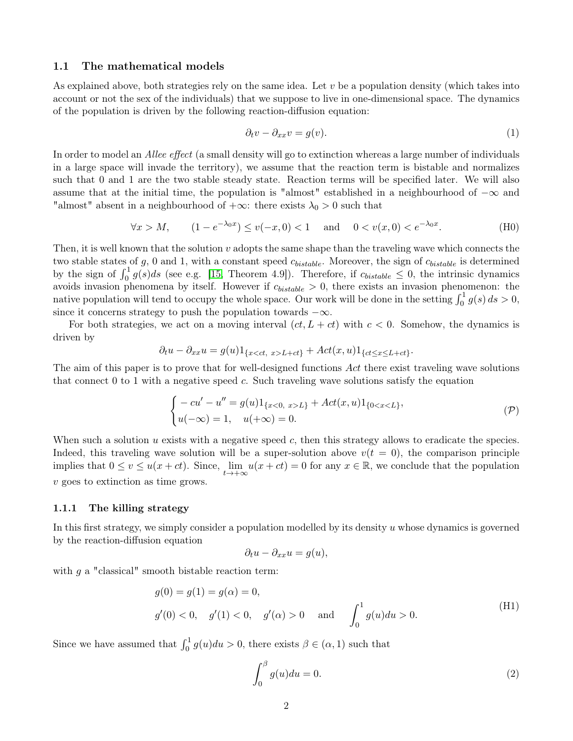# 1.1 The mathematical models

As explained above, both strategies rely on the same idea. Let  $v$  be a population density (which takes into account or not the sex of the individuals) that we suppose to live in one-dimensional space. The dynamics of the population is driven by the following reaction-diffusion equation:

$$
\partial_t v - \partial_{xx} v = g(v). \tag{1}
$$

In order to model an Allee effect (a small density will go to extinction whereas a large number of individuals in a large space will invade the territory), we assume that the reaction term is bistable and normalizes such that 0 and 1 are the two stable steady state. Reaction terms will be specified later. We will also assume that at the initial time, the population is "almost" established in a neighbourhood of  $-\infty$  and "almost" absent in a neighbourhood of  $+\infty$ : there exists  $\lambda_0 > 0$  such that

$$
\forall x > M, \qquad (1 - e^{-\lambda_0 x}) \le v(-x, 0) < 1 \quad \text{and} \quad 0 < v(x, 0) < e^{-\lambda_0 x}.
$$
 (H0)

Then, it is well known that the solution  $v$  adopts the same shape than the traveling wave which connects the two stable states of  $g$ , 0 and 1, with a constant speed  $c_{bistable}$ . Moreover, the sign of  $c_{bistable}$  is determined by the sign of  $\int_0^1 g(s)ds$  (see e.g. [\[15,](#page-28-0) Theorem 4.9]). Therefore, if  $c_{bistable} \leq 0$ , the intrinsic dynamics avoids invasion phenomena by itself. However if  $c_{bistable} > 0$ , there exists an invasion phenomenon: the native population will tend to occupy the whole space. Our work will be done in the setting  $\int_0^1 g(s) ds > 0$ , since it concerns strategy to push the population towards  $-\infty$ .

For both strategies, we act on a moving interval  $(ct, L + ct)$  with  $c < 0$ . Somehow, the dynamics is driven by

$$
\partial_t u - \partial_{xx} u = g(u) 1_{\{x < ct, \ x > L + ct\}} + Act(x, u) 1_{\{ct \le x \le L + ct\}}.
$$

The aim of this paper is to prove that for well-designed functions Act there exist traveling wave solutions that connect  $0$  to 1 with a negative speed c. Such traveling wave solutions satisfy the equation

$$
\begin{cases}\n-cu' - u'' = g(u)1_{\{x<0, x>L\}} + Act(x, u)1_{\{0 < x < L\}},\\ \nu(-\infty) = 1, \quad u(+\infty) = 0.\n\end{cases} \tag{P}
$$

When such a solution  $u$  exists with a negative speed  $c$ , then this strategy allows to eradicate the species. Indeed, this traveling wave solution will be a super-solution above  $v(t = 0)$ , the comparison principle implies that  $0 \le v \le u(x+ct)$ . Since,  $\lim_{t \to +\infty} u(x+ct) = 0$  for any  $x \in \mathbb{R}$ , we conclude that the population v goes to extinction as time grows.

#### 1.1.1 The killing strategy

In this first strategy, we simply consider a population modelled by its density u whose dynamics is governed by the reaction-diffusion equation

<span id="page-1-1"></span>
$$
\partial_t u - \partial_{xx} u = g(u),
$$

with  $q$  a "classical" smooth bistable reaction term:

$$
g(0) = g(1) = g(\alpha) = 0,
$$
  
 
$$
g'(0) < 0, \quad g'(1) < 0, \quad g'(\alpha) > 0 \quad \text{and} \quad \int_0^1 g(u) du > 0.
$$
 (H1)

Since we have assumed that  $\int_0^1 g(u)du > 0$ , there exists  $\beta \in (\alpha, 1)$  such that

<span id="page-1-0"></span>
$$
\int_0^\beta g(u)du = 0.\tag{2}
$$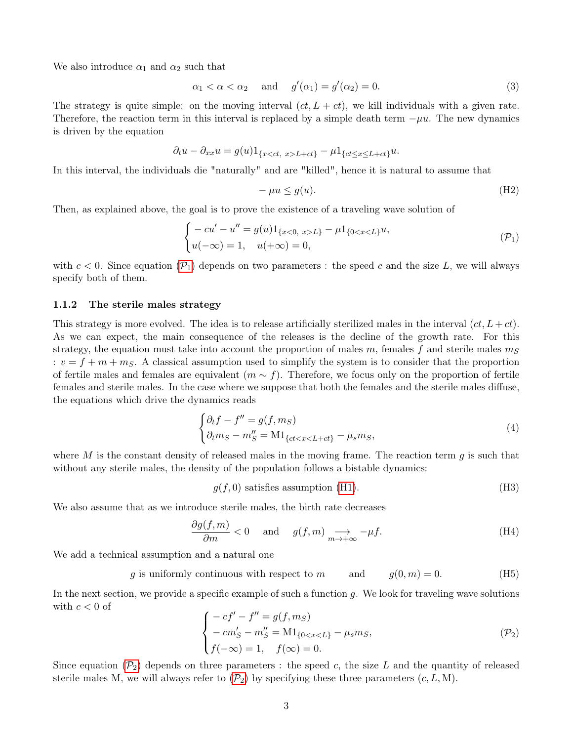We also introduce  $\alpha_1$  and  $\alpha_2$  such that

<span id="page-2-6"></span>
$$
\alpha_1 < \alpha < \alpha_2 \quad \text{and} \quad g'(\alpha_1) = g'(\alpha_2) = 0. \tag{3}
$$

The strategy is quite simple: on the moving interval  $(ct, L + ct)$ , we kill individuals with a given rate. Therefore, the reaction term in this interval is replaced by a simple death term  $-\mu u$ . The new dynamics is driven by the equation

$$
\partial_t u - \partial_{xx} u = g(u) 1_{\{x < ct, x > L + ct\}} - \mu 1_{\{ct \le x \le L + ct\}} u.
$$

In this interval, the individuals die "naturally" and are "killed", hence it is natural to assume that

<span id="page-2-5"></span><span id="page-2-0"></span>
$$
-\mu u \le g(u). \tag{H2}
$$

Then, as explained above, the goal is to prove the existence of a traveling wave solution of

$$
\begin{cases}\n-cu' - u'' = g(u)1_{\{x<0, x>L\}} - \mu 1_{\{0 < x < L\}} u, \\
u(-\infty) = 1, u(+\infty) = 0,\n\end{cases} \tag{P_1}
$$

with  $c < 0$ . Since equation  $(\mathcal{P}_1)$  $(\mathcal{P}_1)$  $(\mathcal{P}_1)$  depends on two parameters : the speed c and the size L, we will always specify both of them.

# 1.1.2 The sterile males strategy

This strategy is more evolved. The idea is to release artificially sterilized males in the interval  $(ct, L + ct)$ . As we can expect, the main consequence of the releases is the decline of the growth rate. For this strategy, the equation must take into account the proportion of males  $m$ , females  $f$  and sterile males  $m<sub>S</sub>$ :  $v = f + m + m<sub>S</sub>$ . A classical assumption used to simplify the system is to consider that the proportion of fertile males and females are equivalent  $(m \sim f)$ . Therefore, we focus only on the proportion of fertile females and sterile males. In the case where we suppose that both the females and the sterile males diffuse, the equations which drive the dynamics reads

$$
\begin{cases} \partial_t f - f'' = g(f, m_S) \\ \partial_t m_S - m''_S = \mathrm{M1}_{\{ct < x < L + ct\}} - \mu_s m_S, \end{cases} \tag{4}
$$

where M is the constant density of released males in the moving frame. The reaction term  $q$  is such that without any sterile males, the density of the population follows a bistable dynamics:

<span id="page-2-7"></span><span id="page-2-4"></span><span id="page-2-3"></span><span id="page-2-2"></span>
$$
g(f, 0)
$$
 satisfies assumption (H1). (H3)

We also assume that as we introduce sterile males, the birth rate decreases

$$
\frac{\partial g(f,m)}{\partial m} < 0 \quad \text{and} \quad g(f,m) \underset{m \to +\infty}{\longrightarrow} -\mu f. \tag{H4}
$$

We add a technical assumption and a natural one

$$
g
$$
 is uniformly continuous with respect to  $m$  and  $g(0, m) = 0.$  (H5)

In the next section, we provide a specific example of such a function  $g$ . We look for traveling wave solutions with  $c < 0$  of

<span id="page-2-1"></span>
$$
\begin{cases}\n-cf' - f'' = g(f, m_S) \\
-cm'_S - m''_S = M1_{\{0 < x < L\}} - \mu_s m_S, \\
f(-\infty) = 1, \quad f(\infty) = 0.\n\end{cases} \tag{P_2}
$$

Since equation  $(\mathcal{P}_2)$  $(\mathcal{P}_2)$  $(\mathcal{P}_2)$  depends on three parameters : the speed c, the size L and the quantity of released sterile males M, we will always refer to  $(\mathcal{P}_2)$  $(\mathcal{P}_2)$  $(\mathcal{P}_2)$  by specifying these three parameters  $(c, L, M)$ .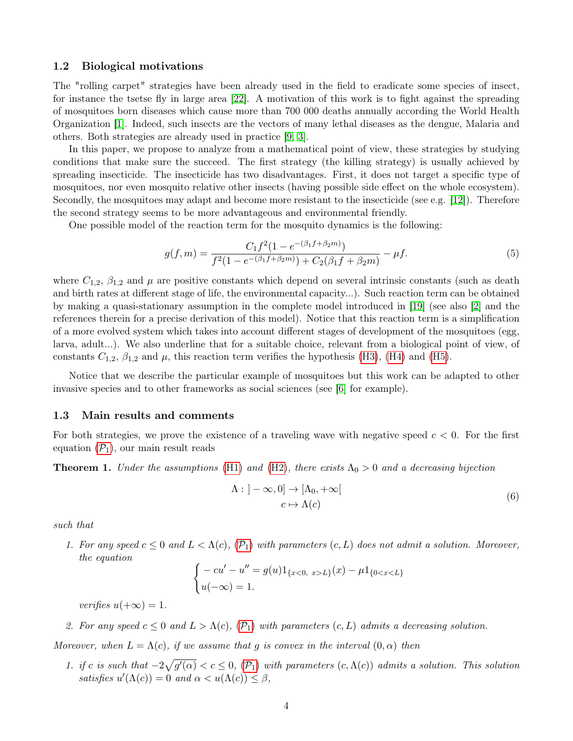# <span id="page-3-1"></span>1.2 Biological motivations

The "rolling carpet" strategies have been already used in the field to eradicate some species of insect, for instance the tsetse fly in large area [\[22\]](#page-29-0). A motivation of this work is to fight against the spreading of mosquitoes born diseases which cause more than 700 000 deaths annually according the World Health Organization [\[1\]](#page-28-1). Indeed, such insects are the vectors of many lethal diseases as the dengue, Malaria and others. Both strategies are already used in practice [\[9,](#page-28-2) [3\]](#page-28-3).

In this paper, we propose to analyze from a mathematical point of view, these strategies by studying conditions that make sure the succeed. The first strategy (the killing strategy) is usually achieved by spreading insecticide. The insecticide has two disadvantages. First, it does not target a specific type of mosquitoes, nor even mosquito relative other insects (having possible side effect on the whole ecosystem). Secondly, the mosquitoes may adapt and become more resistant to the insecticide (see e.g. [\[12\]](#page-28-4)). Therefore the second strategy seems to be more advantageous and environmental friendly.

One possible model of the reaction term for the mosquito dynamics is the following:

$$
g(f,m) = \frac{C_1 f^2 (1 - e^{-(\beta_1 f + \beta_2 m)})}{f^2 (1 - e^{-(\beta_1 f + \beta_2 m)}) + C_2 (\beta_1 f + \beta_2 m)} - \mu f.
$$
\n(5)

where  $C_{1,2}$ ,  $\beta_{1,2}$  and  $\mu$  are positive constants which depend on several intrinsic constants (such as death and birth rates at different stage of life, the environmental capacity...). Such reaction term can be obtained by making a quasi-stationary assumption in the complete model introduced in [\[19\]](#page-29-1) (see also [\[2\]](#page-28-5) and the references therein for a precise derivation of this model). Notice that this reaction term is a simplification of a more evolved system which takes into account different stages of development of the mosquitoes (egg, larva, adult...). We also underline that for a suitable choice, relevant from a biological point of view, of constants  $C_{1,2}$ ,  $\beta_{1,2}$  and  $\mu$ , this reaction term verifies the hypothesis [\(H3\)](#page-2-2), [\(H4\)](#page-2-3) and [\(H5\)](#page-2-4).

Notice that we describe the particular example of mosquitoes but this work can be adapted to other invasive species and to other frameworks as social sciences (see [\[6\]](#page-28-6) for example).

#### 1.3 Main results and comments

For both strategies, we prove the existence of a traveling wave with negative speed  $c < 0$ . For the first equation  $(\mathcal{P}_1)$  $(\mathcal{P}_1)$  $(\mathcal{P}_1)$ , our main result reads

<span id="page-3-0"></span>**Theorem 1.** Under the assumptions [\(H1\)](#page-1-0) and [\(H2\)](#page-2-5), there exists  $\Lambda_0 > 0$  and a decreasing bijection

$$
\Lambda : ] - \infty, 0] \to [\Lambda_0, + \infty[
$$
  

$$
c \mapsto \Lambda(c)
$$
 (6)

such that

1. For any speed  $c \leq 0$  and  $L < \Lambda(c)$ ,  $(\mathcal{P}_1)$  $(\mathcal{P}_1)$  $(\mathcal{P}_1)$  with parameters  $(c, L)$  does not admit a solution. Moreover, the equation

$$
\begin{cases}\n-cu' - u'' = g(u)1_{\{x<0, x>L\}}(x) - \mu 1_{\{0 < x < L\}} \\
u(-\infty) = 1.\n\end{cases}
$$

verifies  $u(+\infty) = 1$ .

2. For any speed  $c \leq 0$  and  $L > \Lambda(c)$ ,  $(\mathcal{P}_1)$  $(\mathcal{P}_1)$  $(\mathcal{P}_1)$  with parameters  $(c, L)$  admits a decreasing solution.

Moreover, when  $L = \Lambda(c)$ , if we assume that g is convex in the interval  $(0, \alpha)$  then

1. if c is such that  $-2\sqrt{g'(\alpha)} < c \leq 0$ ,  $(\mathcal{P}_1)$  $(\mathcal{P}_1)$  $(\mathcal{P}_1)$  with parameters  $(c, \Lambda(c))$  admits a solution. This solution satisfies  $u'(\Lambda(c)) = 0$  and  $\alpha < u(\Lambda(c)) \leq \beta$ ,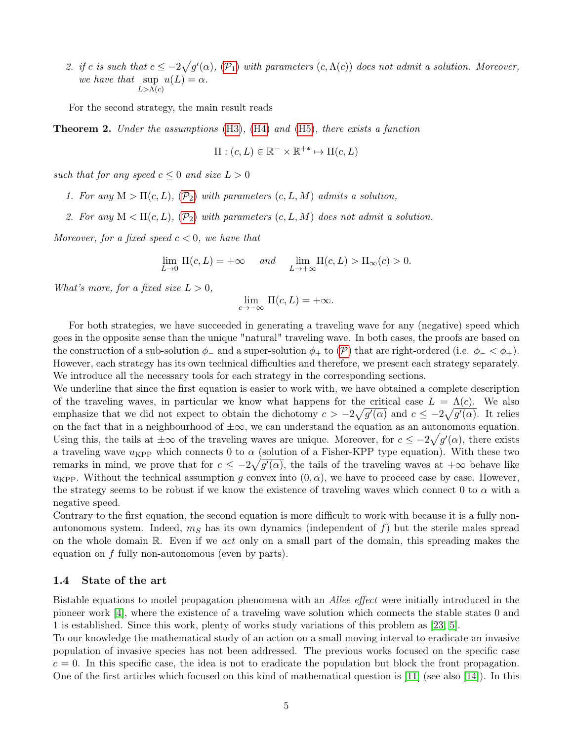2. if c is such that  $c \leq -2\sqrt{g'(\alpha)}$ ,  $(\mathcal{P}_1)$  $(\mathcal{P}_1)$  $(\mathcal{P}_1)$  with parameters  $(c, \Lambda(c))$  does not admit a solution. Moreover, we have that  $\sup u(L) = \alpha$ .  $L>\Lambda(c)$ 

For the second strategy, the main result reads

<span id="page-4-0"></span>**Theorem 2.** Under the assumptions  $(H3)$ ,  $(H4)$  and  $(H5)$ , there exists a function

$$
\Pi : (c, L) \in \mathbb{R}^- \times \mathbb{R}^{+*} \mapsto \Pi(c, L)
$$

such that for any speed  $c \leq 0$  and size  $L > 0$ 

- 1. For any  $M > \Pi(c, L)$  $M > \Pi(c, L)$  $M > \Pi(c, L)$ ,  $(\mathcal{P}_2)$  with parameters  $(c, L, M)$  admits a solution,
- 2. For any  $M < \Pi(c, L)$  $M < \Pi(c, L)$  $M < \Pi(c, L)$ ,  $(\mathcal{P}_2)$  with parameters  $(c, L, M)$  does not admit a solution.

Moreover, for a fixed speed  $c < 0$ , we have that

$$
\lim_{L\to 0} \Pi(c,L)=+\infty \quad \text{ and } \quad \lim_{L\to +\infty} \Pi(c,L)>\Pi_\infty(c)>0.
$$

What's more, for a fixed size  $L > 0$ ,

$$
\lim_{c \to -\infty} \Pi(c, L) = +\infty.
$$

For both strategies, we have succeeded in generating a traveling wave for any (negative) speed which goes in the opposite sense than the unique "natural" traveling wave. In both cases, the proofs are based on the construction of a sub-solution  $\phi_-\$  and a super-solution  $\phi_+\$  to  $(\mathcal{P})$  $(\mathcal{P})$  $(\mathcal{P})$  that are right-ordered (i.e.  $\phi_-\lt\phi_+$ ). However, each strategy has its own technical difficulties and therefore, we present each strategy separately. We introduce all the necessary tools for each strategy in the corresponding sections.

We underline that since the first equation is easier to work with, we have obtained a complete description of the traveling waves, in particular we know what happens for the critical case  $L = \Lambda(c)$ . We also emphasize that we did not expect to obtain the dichotomy  $c > -2\sqrt{g'(\alpha)}$  and  $c \leq -2\sqrt{g'(\alpha)}$ . It relies on the fact that in a neighbourhood of  $\pm\infty$ , we can understand the equation as an autonomous equation. Using this, the tails at  $\pm\infty$  of the traveling waves are unique. Moreover, for  $c \leq -2\sqrt{g'(\alpha)}$ , there exists a traveling wave  $u_{\text{KPP}}$  which connects 0 to  $\alpha$  (solution of a Fisher-KPP type equation). With these two remarks in mind, we prove that for  $c \leq -2\sqrt{g'(\alpha)}$ , the tails of the traveling waves at  $+\infty$  behave like  $u_{\text{KPP}}$ . Without the technical assumption g convex into  $(0, \alpha)$ , we have to proceed case by case. However, the strategy seems to be robust if we know the existence of traveling waves which connect 0 to  $\alpha$  with a negative speed.

Contrary to the first equation, the second equation is more difficult to work with because it is a fully nonautonomous system. Indeed,  $m<sub>S</sub>$  has its own dynamics (independent of f) but the sterile males spread on the whole domain  $\mathbb{R}$ . Even if we act only on a small part of the domain, this spreading makes the equation on  $f$  fully non-autonomous (even by parts).

### 1.4 State of the art

Bistable equations to model propagation phenomena with an Allee effect were initially introduced in the pioneer work [\[4\]](#page-28-7), where the existence of a traveling wave solution which connects the stable states 0 and 1 is established. Since this work, plenty of works study variations of this problem as [\[23,](#page-29-2) [5\]](#page-28-8).

To our knowledge the mathematical study of an action on a small moving interval to eradicate an invasive population of invasive species has not been addressed. The previous works focused on the specific case  $c = 0$ . In this specific case, the idea is not to eradicate the population but block the front propagation. One of the first articles which focused on this kind of mathematical question is [\[11\]](#page-28-9) (see also [\[14\]](#page-28-10)). In this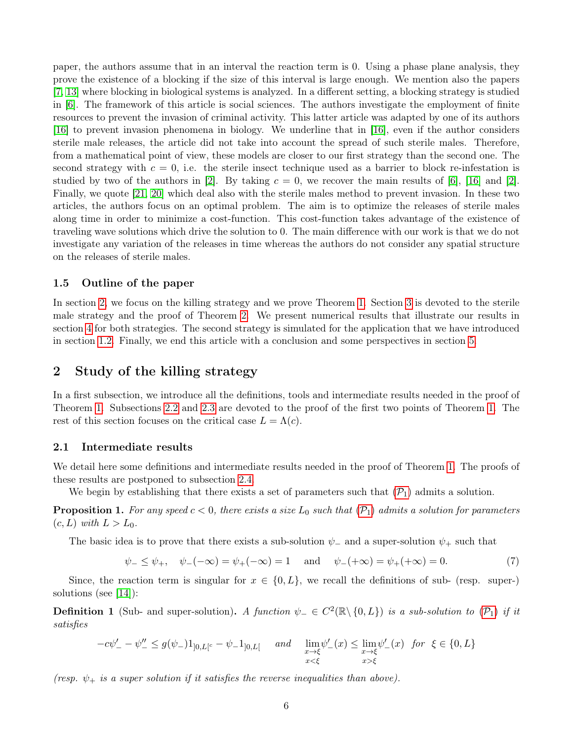paper, the authors assume that in an interval the reaction term is 0. Using a phase plane analysis, they prove the existence of a blocking if the size of this interval is large enough. We mention also the papers [\[7,](#page-28-11) [13\]](#page-28-12) where blocking in biological systems is analyzed. In a different setting, a blocking strategy is studied in [\[6\]](#page-28-6). The framework of this article is social sciences. The authors investigate the employment of finite resources to prevent the invasion of criminal activity. This latter article was adapted by one of its authors [\[16\]](#page-28-13) to prevent invasion phenomena in biology. We underline that in [\[16\]](#page-28-13), even if the author considers sterile male releases, the article did not take into account the spread of such sterile males. Therefore, from a mathematical point of view, these models are closer to our first strategy than the second one. The second strategy with  $c = 0$ , i.e. the sterile insect technique used as a barrier to block re-infestation is studied by two of the authors in [\[2\]](#page-28-5). By taking  $c = 0$ , we recover the main results of [\[6\]](#page-28-6), [\[16\]](#page-28-13) and [2]. Finally, we quote [\[21,](#page-29-3) [20\]](#page-29-4) which deal also with the sterile males method to prevent invasion. In these two articles, the authors focus on an optimal problem. The aim is to optimize the releases of sterile males along time in order to minimize a cost-function. This cost-function takes advantage of the existence of traveling wave solutions which drive the solution to 0. The main difference with our work is that we do not investigate any variation of the releases in time whereas the authors do not consider any spatial structure on the releases of sterile males.

# 1.5 Outline of the paper

In section [2,](#page-5-0) we focus on the killing strategy and we prove Theorem [1.](#page-3-0) Section [3](#page-18-0) is devoted to the sterile male strategy and the proof of Theorem [2.](#page-4-0) We present numerical results that illustrate our results in section [4](#page-24-0) for both strategies. The second strategy is simulated for the application that we have introduced in section [1.2.](#page-3-1) Finally, we end this article with a conclusion and some perspectives in section [5.](#page-27-0)

# <span id="page-5-0"></span>2 Study of the killing strategy

In a first subsection, we introduce all the definitions, tools and intermediate results needed in the proof of Theorem [1.](#page-3-0) Subsections [2.2](#page-7-0) and [2.3](#page-7-1) are devoted to the proof of the first two points of Theorem [1.](#page-3-0) The rest of this section focuses on the critical case  $L = \Lambda(c)$ .

# 2.1 Intermediate results

We detail here some definitions and intermediate results needed in the proof of Theorem [1.](#page-3-0) The proofs of these results are postponed to subsection [2.4.](#page-9-0)

We begin by establishing that there exists a set of parameters such that  $(\mathcal{P}_1)$  $(\mathcal{P}_1)$  $(\mathcal{P}_1)$  admits a solution.

<span id="page-5-2"></span>**[P](#page-2-0)roposition 1.** For any speed  $c < 0$ , there exists a size  $L_0$  such that  $(\mathcal{P}_1)$  admits a solution for parameters  $(c, L)$  with  $L > L_0$ .

The basic idea is to prove that there exists a sub-solution  $\psi_-$  and a super-solution  $\psi_+$  such that

<span id="page-5-1"></span>
$$
\psi_{-} \leq \psi_{+}, \quad \psi_{-}(-\infty) = \psi_{+}(-\infty) = 1 \quad \text{and} \quad \psi_{-}(+\infty) = \psi_{+}(+\infty) = 0.
$$
\n(7)

Since, the reaction term is singular for  $x \in \{0, L\}$ , we recall the definitions of sub- (resp. super-) solutions (see [\[14\]](#page-28-10)):

**Definition 1** (Sub- and super-solution). A function  $\psi_- \in C^2(\mathbb{R} \setminus \{0, L\})$  is a sub-solution to  $(\mathcal{P}_1)$  $(\mathcal{P}_1)$  $(\mathcal{P}_1)$  if it satisfies

$$
-c\psi_{-}' - \psi_{-}'' \le g(\psi_{-})1_{]0,L[^{c}} - \psi_{-}1_{]0,L[} \quad \text{and} \quad \lim_{\substack{x \to \xi \\ x < \xi}} \psi_{-}'(x) \le \lim_{\substack{x \to \xi \\ x > \xi}} \psi_{-}'(x) \text{ for } \xi \in \{0, L\}
$$

(resp.  $\psi_+$  is a super solution if it satisfies the reverse inequalities than above).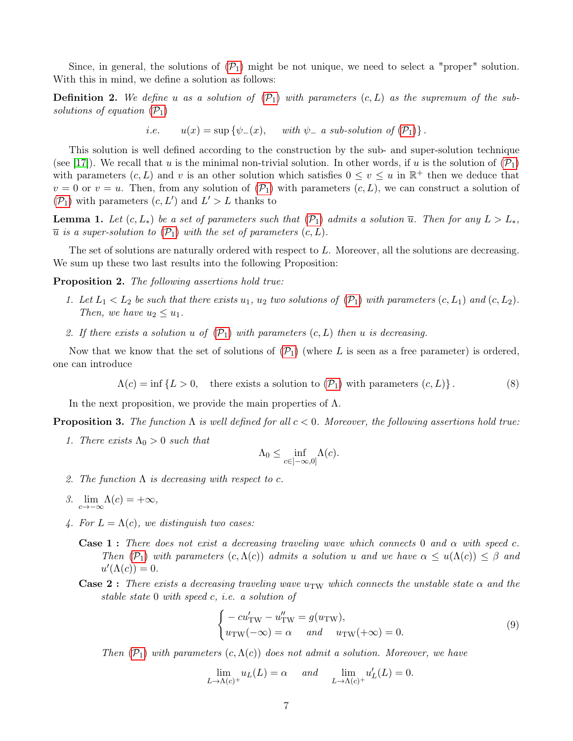Since, in general, the solutions of  $(\mathcal{P}_1)$  $(\mathcal{P}_1)$  $(\mathcal{P}_1)$  might be not unique, we need to select a "proper" solution. With this in mind, we define a solution as follows:

**Definition 2.** We define u as a solution of  $(\mathcal{P}_1)$  $(\mathcal{P}_1)$  $(\mathcal{P}_1)$  with parameters  $(c, L)$  as the supremum of the subsolutions of equation  $(\mathcal{P}_1)$  $(\mathcal{P}_1)$  $(\mathcal{P}_1)$ 

i.e. 
$$
u(x) = \sup \{ \psi_-(x), \quad \text{with } \psi_- \text{ a sub-solution of } (\mathcal{P}_1) \}.
$$

This solution is well defined according to the construction by the sub- and super-solution technique (see [\[17\]](#page-28-14)). We recall that u is the minimal non-trivial solution. In other words, if u is the solution of  $(\mathcal{P}_1)$  $(\mathcal{P}_1)$  $(\mathcal{P}_1)$ with parameters  $(c, L)$  and v is an other solution which satisfies  $0 \le v \le u$  in  $\mathbb{R}^+$  then we deduce that  $v = 0$  or  $v = u$ . Then, from any solution of  $(\mathcal{P}_1)$  $(\mathcal{P}_1)$  $(\mathcal{P}_1)$  with parameters  $(c, L)$ , we can construct a solution of  $(\mathcal{P}_1)$  $(\mathcal{P}_1)$  $(\mathcal{P}_1)$  with parameters  $(c, L')$  and  $L' > L$  thanks to

<span id="page-6-1"></span>**Lemma 1.** Let  $(c, L_*)$  be a set of parameters such that  $(\mathcal{P}_1)$  $(\mathcal{P}_1)$  $(\mathcal{P}_1)$  admits a solution  $\overline{u}$ . Then for any  $L > L_*$ ,  $\overline{u}$  is a super-solution to  $(\mathcal{P}_1)$  $(\mathcal{P}_1)$  $(\mathcal{P}_1)$  with the set of parameters  $(c, L)$ .

The set of solutions are naturally ordered with respect to L. Moreover, all the solutions are decreasing. We sum up these two last results into the following Proposition:

<span id="page-6-3"></span>Proposition 2. The following assertions hold true:

- 1. Let  $L_1 < L_2$  be such that there exists  $u_1, u_2$  two solutions of  $(\mathcal{P}_1)$  $(\mathcal{P}_1)$  $(\mathcal{P}_1)$  with parameters  $(c, L_1)$  and  $(c, L_2)$ . Then, we have  $u_2 \leq u_1$ .
- 2. If there exists a solution u of  $(\mathcal{P}_1)$  $(\mathcal{P}_1)$  $(\mathcal{P}_1)$  with parameters  $(c, L)$  then u is decreasing.

Now that we know that the set of solutions of  $(\mathcal{P}_1)$  $(\mathcal{P}_1)$  $(\mathcal{P}_1)$  (where L is seen as a free parameter) is ordered, one can introduce

<span id="page-6-0"></span>
$$
\Lambda(c) = \inf \{ L > 0, \quad \text{there exists a solution to } (\mathcal{P}_1) \text{ with parameters } (c, L) \}. \tag{8}
$$

In the next proposition, we provide the main properties of  $\Lambda$ .

<span id="page-6-2"></span>**Proposition 3.** The function  $\Lambda$  is well defined for all  $c < 0$ . Moreover, the following assertions hold true:

1. There exists  $\Lambda_0 > 0$  such that

$$
\Lambda_0\leq \inf_{c\in ]-\infty,0]}\Lambda(c).
$$

- 2. The function  $\Lambda$  is decreasing with respect to c.
- 3.  $\lim_{c \to -\infty} \Lambda(c) = +\infty$ ,
- 4. For  $L = \Lambda(c)$ , we distinguish two cases:
	- **Case 1:** There does not exist a decreasing traveling wave which connects 0 and  $\alpha$  with speed c. Then  $(\mathcal{P}_1)$  $(\mathcal{P}_1)$  $(\mathcal{P}_1)$  with parameters  $(c,\Lambda(c))$  admits a solution u and we have  $\alpha \leq u(\Lambda(c)) \leq \beta$  and  $u'(\Lambda(c))=0.$
	- **Case 2**: There exists a decreasing traveling wave u<sub>TW</sub> which connects the unstable state  $\alpha$  and the stable state 0 with speed c, i.e. a solution of

<span id="page-6-4"></span>
$$
\begin{cases}\n-cu'_{\text{TW}} - u''_{\text{TW}} = g(u_{\text{TW}}), \\
u_{\text{TW}}(-\infty) = \alpha \quad \text{and} \quad u_{\text{TW}}(+\infty) = 0.\n\end{cases} \tag{9}
$$

Then  $(\mathcal{P}_1)$  $(\mathcal{P}_1)$  $(\mathcal{P}_1)$  with parameters  $(c, \Lambda(c))$  does not admit a solution. Moreover, we have

$$
\lim_{L \to \Lambda(c)^+} u_L(L) = \alpha \quad \text{and} \quad \lim_{L \to \Lambda(c)^+} u'_L(L) = 0.
$$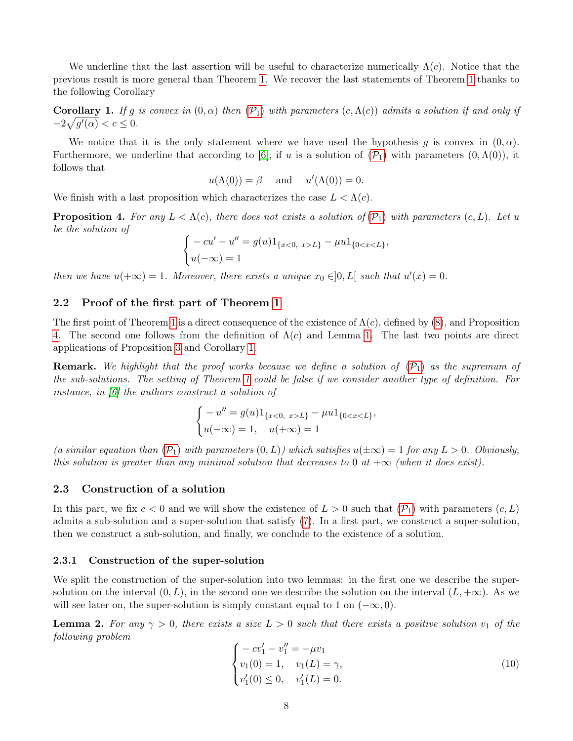We underline that the last assertion will be useful to characterize numerically  $\Lambda(c)$ . Notice that the previous result is more general than Theorem [1.](#page-3-0) We recover the last statements of Theorem [1](#page-3-0) thanks to the following Corollary

<span id="page-7-3"></span>**Corollary 1.** If g is convex in  $(0, \alpha)$  then  $(\mathcal{P}_1)$  $(\mathcal{P}_1)$  $(\mathcal{P}_1)$  with parameters  $(c, \Lambda(c))$  admits a solution if and only if  $-2\sqrt{g'(\alpha)} < c \leq 0.$ 

We notice that it is the only statement where we have used the hypothesis g is convex in  $(0, \alpha)$ . Furthermore, we underline that according to [\[6\]](#page-28-6), if u is a solution of  $(\mathcal{P}_1)$  $(\mathcal{P}_1)$  $(\mathcal{P}_1)$  with parameters  $(0,\Lambda(0))$ , it follows that

$$
u(\Lambda(0)) = \beta
$$
 and  $u'(\Lambda(0)) = 0$ .

We finish with a last proposition which characterizes the case  $L < \Lambda(c)$ .

<span id="page-7-2"></span>**[P](#page-2-0)roposition 4.** For any  $L < \Lambda(c)$ , there does not exists a solution of  $(\mathcal{P}_1)$  with parameters  $(c, L)$ . Let u be the solution of

$$
\begin{cases}\n-cu' - u'' = g(u)1_{\{x<0, x>L\}} - \mu u1_{\{0 < x < L\}}, \\
u(-\infty) = 1\n\end{cases}
$$

then we have  $u(+\infty) = 1$ . Moreover, there exists a unique  $x_0 \in ]0, L[$  such that  $u'(x) = 0$ .

# <span id="page-7-0"></span>2.2 Proof of the first part of Theorem [1](#page-3-0)

The first point of Theorem [1](#page-3-0) is a direct consequence of the existence of  $\Lambda(c)$ , defined by [\(8\)](#page-6-0), and Proposition [4.](#page-7-2) The second one follows from the definition of  $\Lambda(c)$  and Lemma [1.](#page-6-1) The last two points are direct applications of Proposition [3](#page-6-2) and Corollary [1.](#page-7-3)

**Remark.** We highlight that the proof works because we define a solution of  $(\mathcal{P}_1)$  $(\mathcal{P}_1)$  $(\mathcal{P}_1)$  as the supremum of the sub-solutions. The setting of Theorem [1](#page-3-0) could be false if we consider another type of definition. For instance, in [\[6\]](#page-28-6) the authors construct a solution of

$$
\begin{cases}\n-u'' = g(u)1_{\{x<0, x>L\}} - \mu u 1_{\{0 < x < L\}}, \\
u(-\infty) = 1, u(+\infty) = 1\n\end{cases}
$$

(a similar equation than  $(\mathcal{P}_1)$  $(\mathcal{P}_1)$  $(\mathcal{P}_1)$  with parameters  $(0, L)$ ) which satisfies  $u(\pm \infty) = 1$  for any  $L > 0$ . Obviously, this solution is greater than any minimal solution that decreases to 0 at  $+\infty$  (when it does exist).

#### <span id="page-7-1"></span>2.3 Construction of a solution

In this part, we fix  $c < 0$  and we will show the existence of  $L > 0$  such that  $(\mathcal{P}_1)$  $(\mathcal{P}_1)$  $(\mathcal{P}_1)$  with parameters  $(c, L)$ admits a sub-solution and a super-solution that satisfy [\(7\)](#page-5-1). In a first part, we construct a super-solution, then we construct a sub-solution, and finally, we conclude to the existence of a solution.

#### 2.3.1 Construction of the super-solution

We split the construction of the super-solution into two lemmas: in the first one we describe the supersolution on the interval  $(0, L)$ , in the second one we describe the solution on the interval  $(L, +\infty)$ . As we will see later on, the super-solution is simply constant equal to 1 on  $(-\infty, 0)$ .

<span id="page-7-5"></span>**Lemma 2.** For any  $\gamma > 0$ , there exists a size  $L > 0$  such that there exists a positive solution  $v_1$  of the following problem

<span id="page-7-4"></span>
$$
\begin{cases}\n-cv'_1 - v''_1 = -\mu v_1 \\
v_1(0) = 1, \quad v_1(L) = \gamma, \\
v'_1(0) \le 0, \quad v'_1(L) = 0.\n\end{cases}
$$
\n(10)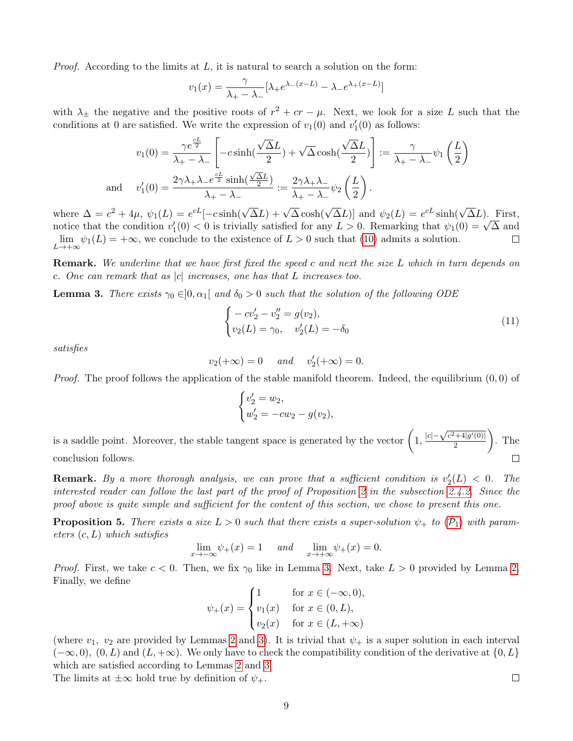*Proof.* According to the limits at  $L$ , it is natural to search a solution on the form:

$$
v_1(x) = \frac{\gamma}{\lambda_+ - \lambda_-} [\lambda_+ e^{\lambda_-(x-L)} - \lambda_- e^{\lambda_+(x-L)}]
$$

with  $\lambda_{\pm}$  the negative and the positive roots of  $r^2 + cr - \mu$ . Next, we look for a size L such that the conditions at 0 are satisfied. We write the expression of  $v_1(0)$  and  $v'_1(0)$  as follows:

$$
v_1(0) = \frac{\gamma e^{\frac{cL}{2}}}{\lambda_+ - \lambda_-} \left[ -c \sinh(\frac{\sqrt{\Delta}L}{2}) + \sqrt{\Delta} \cosh(\frac{\sqrt{\Delta}L}{2}) \right] := \frac{\gamma}{\lambda_+ - \lambda_-} \psi_1 \left( \frac{L}{2} \right)
$$
  
and 
$$
v_1'(0) = \frac{2\gamma \lambda_+ \lambda_- e^{\frac{cL}{2}} \sinh(\frac{\sqrt{\Delta}L}{2})}{\lambda_+ - \lambda_-} := \frac{2\gamma \lambda_+ \lambda_-}{\lambda_+ - \lambda_-} \psi_2 \left( \frac{L}{2} \right).
$$

where  $\Delta = c^2 + 4\mu$ ,  $\psi_1(L) = e^{cL}[-c \sinh(\sqrt{\Delta}L) + \sqrt{\Delta} \cosh(\sqrt{\Delta}L)]$  and  $\psi_2(L) = e^{cL} \sinh(\sqrt{\Delta}L)$ . First, where  $\Delta = c^2 + 4\mu$ ,  $\psi_1(L) = e^{i\omega}[-c \sinh(\sqrt{\Delta}L) + \sqrt{\Delta} \cosh(\sqrt{\Delta}L)]$  and  $\psi_2(L) = e^{i\omega} \sinh(\sqrt{\Delta}L)$ . First,<br>notice that the condition  $v'_1(0) < 0$  is trivially satisfied for any  $L > 0$ . Remarking that  $\psi_1(0) = \sqrt{\Delta}$  and  $\lim \psi_1(L) = +\infty$ , we conclude to the existence of  $L > 0$  such that [\(10\)](#page-7-4) admits a solution.  $\Box$  $L\rightarrow+\infty$ 

**Remark.** We underline that we have first fixed the speed c and next the size L which in turn depends on c. One can remark that as  $|c|$  increases, one has that L increases too.

<span id="page-8-0"></span>**Lemma 3.** There exists  $\gamma_0 \in ]0, \alpha_1[$  and  $\delta_0 > 0$  such that the solution of the following ODE

$$
\begin{cases}\n-cv_2' - v_2'' = g(v_2), \\
v_2(L) = \gamma_0, \quad v_2'(L) = -\delta_0\n\end{cases}
$$
\n(11)

satisfies

$$
v_2(+\infty) = 0 \quad \text{and} \quad v_2'(+\infty) = 0.
$$

*Proof.* The proof follows the application of the stable manifold theorem. Indeed, the equilibrium  $(0, 0)$  of

$$
\begin{cases} v_2' = w_2, \\ w_2' = -cw_2 - g(v_2), \end{cases}
$$

is a saddle point. Moreover, the stable tangent space is generated by the vector  $\left(1, \frac{|c| - \sqrt{c^2 + 4|g'(0)|}}{2}\right)$  $\setminus$ . The 2 conclusion follows.  $\Box$ 

**Remark.** By a more thorough analysis, we can prove that a sufficient condition is  $v_2'(L) < 0$ . The interested reader can follow the last part of the proof of Proposition [2](#page-6-3) in the subsection [2.4.2.](#page-10-0) Since the proof above is quite simple and sufficient for the content of this section, we chose to present this one.

<span id="page-8-1"></span>**[P](#page-2-0)roposition 5.** There exists a size  $L > 0$  such that there exists a super-solution  $\psi_+$  to  $(\mathcal{P}_1)$  with parameters  $(c, L)$  which satisfies

$$
\lim_{x \to -\infty} \psi_+(x) = 1 \quad \text{and} \quad \lim_{x \to +\infty} \psi_+(x) = 0.
$$

*Proof.* First, we take  $c < 0$ . Then, we fix  $\gamma_0$  like in Lemma [3.](#page-8-0) Next, take  $L > 0$  provided by Lemma [2.](#page-7-5) Finally, we define

$$
\psi_{+}(x) = \begin{cases} 1 & \text{for } x \in (-\infty, 0), \\ v_{1}(x) & \text{for } x \in (0, L), \\ v_{2}(x) & \text{for } x \in (L, +\infty) \end{cases}
$$

(where  $v_1, v_2$  are provided by Lemmas [2](#page-7-5) and [3\)](#page-8-0). It is trivial that  $\psi_+$  is a super solution in each interval  $(-\infty, 0)$ ,  $(0, L)$  and  $(L, +\infty)$ . We only have to check the compatibility condition of the derivative at  $\{0, L\}$ which are satisfied according to Lemmas [2](#page-7-5) and [3.](#page-8-0) The limits at  $\pm\infty$  hold true by definition of  $\psi_+$ .

 $\Box$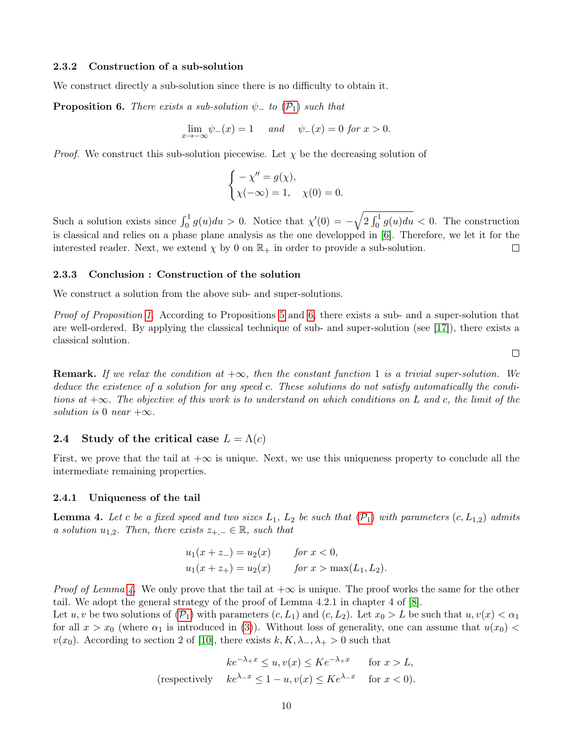# 2.3.2 Construction of a sub-solution

We construct directly a sub-solution since there is no difficulty to obtain it.

<span id="page-9-1"></span>**[P](#page-2-0)roposition 6.** There exists a sub-solution  $\psi$  to  $(\mathcal{P}_1)$  such that

$$
\lim_{x \to -\infty} \psi_-(x) = 1 \quad \text{and} \quad \psi_-(x) = 0 \text{ for } x > 0.
$$

*Proof.* We construct this sub-solution piecewise. Let  $\chi$  be the decreasing solution of

$$
\begin{cases}\n-\chi'' = g(\chi), \\
\chi(-\infty) = 1, \quad \chi(0) = 0.\n\end{cases}
$$

Such a solution exists since  $\int_0^1 g(u)du > 0$ . Notice that  $\chi'(0) = -\sqrt{2 \int_0^1 g(u)du} < 0$ . The construction is classical and relies on a phase plane analysis as the one developped in [\[6\]](#page-28-6). Therefore, we let it for the interested reader. Next, we extend  $\chi$  by 0 on  $\mathbb{R}_+$  in order to provide a sub-solution.  $\Box$ 

#### 2.3.3 Conclusion : Construction of the solution

We construct a solution from the above sub- and super-solutions.

Proof of Proposition [1.](#page-5-2) According to Propositions [5](#page-8-1) and [6,](#page-9-1) there exists a sub- and a super-solution that are well-ordered. By applying the classical technique of sub- and super-solution (see [\[17\]](#page-28-14)), there exists a classical solution.

 $\Box$ 

**Remark.** If we relax the condition at  $+\infty$ , then the constant function 1 is a trivial super-solution. We deduce the existence of a solution for any speed c. These solutions do not satisfy automatically the conditions at  $+\infty$ . The objective of this work is to understand on which conditions on L and c, the limit of the solution is 0 near  $+\infty$ .

### <span id="page-9-0"></span>2.4 Study of the critical case  $L = \Lambda(c)$

First, we prove that the tail at  $+\infty$  is unique. Next, we use this uniqueness property to conclude all the intermediate remaining properties.

#### 2.4.1 Uniqueness of the tail

<span id="page-9-2"></span>**Lemma 4.** Let c be a fixed speed and two sizes  $L_1$ ,  $L_2$  be such that  $(\mathcal{P}_1)$  $(\mathcal{P}_1)$  $(\mathcal{P}_1)$  with parameters  $(c, L_{1,2})$  admits a solution  $u_{1,2}$ . Then, there exists  $z_{+,-} \in \mathbb{R}$ , such that

$$
u_1(x + z_-) = u_2(x) \qquad \text{for } x < 0,
$$
  

$$
u_1(x + z_+) = u_2(x) \qquad \text{for } x > \max(L_1, L_2).
$$

*Proof of Lemma [4.](#page-9-2)* We only prove that the tail at  $+\infty$  is unique. The proof works the same for the other tail. We adopt the general strategy of the proof of Lemma 4.2.1 in chapter 4 of [\[8\]](#page-28-15).

Let u, v be two solutions of  $(\mathcal{P}_1)$  $(\mathcal{P}_1)$  $(\mathcal{P}_1)$  with parameters  $(c, L_1)$  and  $(c, L_2)$ . Let  $x_0 > L$  be such that  $u, v(x) < \alpha_1$ for all  $x > x_0$  (where  $\alpha_1$  is introduced in [\(3\)](#page-2-6)). Without loss of generality, one can assume that  $u(x_0)$  <  $v(x_0)$ . According to section 2 of [\[10\]](#page-28-16), there exists  $k, K, \lambda_-, \lambda_+ > 0$  such that

$$
ke^{-\lambda_+ x} \le u, v(x) \le Ke^{-\lambda_+ x} \quad \text{for } x > L,
$$
  
(respectively  $ke^{\lambda_- x} \le 1 - u, v(x) \le Ke^{\lambda_- x} \quad \text{for } x < 0).$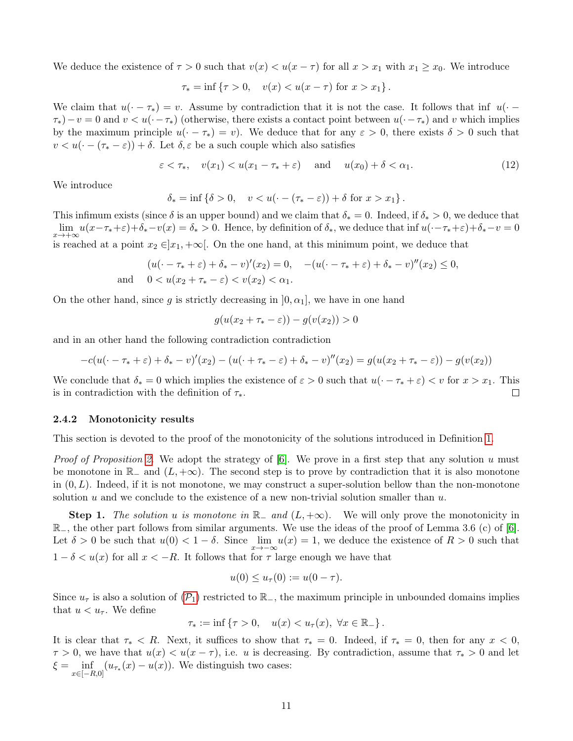We deduce the existence of  $\tau > 0$  such that  $v(x) < u(x - \tau)$  for all  $x > x_1$  with  $x_1 \ge x_0$ . We introduce

$$
\tau_* = \inf \{ \tau > 0, \quad v(x) < u(x - \tau) \text{ for } x > x_1 \}.
$$

We claim that  $u(\cdot - \tau_*) = v$ . Assume by contradiction that it is not the case. It follows that inf  $u(\cdot \tau_0 - v = 0$  and  $v < u(\cdot - \tau_*)$  (otherwise, there exists a contact point between  $u(\cdot - \tau_*)$ ) and v which implies by the maximum principle  $u(\cdot - \tau_*) = v$ . We deduce that for any  $\varepsilon > 0$ , there exists  $\delta > 0$  such that  $v < u(\cdot - (\tau_{*} - \varepsilon)) + \delta$ . Let  $\delta, \varepsilon$  be a such couple which also satisfies

$$
\varepsilon < \tau_*, \quad v(x_1) < u(x_1 - \tau_* + \varepsilon) \quad \text{and} \quad u(x_0) + \delta < \alpha_1. \tag{12}
$$

We introduce

$$
\delta_* = \inf \left\{ \delta > 0, \quad v < u \left( \cdot - (\tau_* - \varepsilon) \right) + \delta \text{ for } x > x_1 \right\}.
$$

This infimum exists (since  $\delta$  is an upper bound) and we claim that  $\delta_* = 0$ . Indeed, if  $\delta_* > 0$ , we deduce that  $\lim_{x\to+\infty} u(x-\tau_*+\varepsilon)+\delta_*-v(x)=\delta_*>0.$  Hence, by definition of  $\delta_*,$  we deduce that  $\inf u(\cdot-\tau_*+\varepsilon)+\delta_*-v=0$ is reached at a point  $x_2 \in ]x_1, +\infty[$ . On the one hand, at this minimum point, we deduce that

$$
(u(\cdot - \tau_* + \varepsilon) + \delta_* - v)'(x_2) = 0, \quad -(u(\cdot - \tau_* + \varepsilon) + \delta_* - v)''(x_2) \le 0,
$$
  
and  $0 < u(x_2 + \tau_* - \varepsilon) < v(x_2) < \alpha_1$ .

On the other hand, since g is strictly decreasing in  $[0, \alpha_1]$ , we have in one hand

$$
g(u(x_2 + \tau_* - \varepsilon)) - g(v(x_2)) > 0
$$

and in an other hand the following contradiction contradiction

$$
-c(u(\cdot - \tau_* + \varepsilon) + \delta_* - v)'(x_2) - (u(\cdot + \tau_* - \varepsilon) + \delta_* - v)''(x_2) = g(u(x_2 + \tau_* - \varepsilon)) - g(v(x_2))
$$

We conclude that  $\delta_* = 0$  which implies the existence of  $\varepsilon > 0$  such that  $u(\cdot - \tau_* + \varepsilon) < v$  for  $x > x_1$ . This is in contradiction with the definition of  $\tau_*$ .  $\Box$ 

#### <span id="page-10-0"></span>2.4.2 Monotonicity results

This section is devoted to the proof of the monotonicity of the solutions introduced in Definition [1.](#page-6-1)

*Proof of Proposition [2.](#page-6-3)* We adopt the strategy of  $[6]$ . We prove in a first step that any solution u must be monotone in  $\mathbb{R}_-$  and  $(L, +\infty)$ . The second step is to prove by contradiction that it is also monotone in  $(0, L)$ . Indeed, if it is not monotone, we may construct a super-solution bellow than the non-monotone solution u and we conclude to the existence of a new non-trivial solution smaller than  $u$ .

**Step 1.** The solution u is monotone in  $\mathbb{R}_-$  and  $(L, +\infty)$ . We will only prove the monotonicity in  $\mathbb{R}_-$ , the other part follows from similar arguments. We use the ideas of the proof of Lemma 3.6 (c) of [\[6\]](#page-28-6). Let  $\delta > 0$  be such that  $u(0) < 1 - \delta$ . Since  $\lim_{x \to -\infty} u(x) = 1$ , we deduce the existence of  $R > 0$  such that  $1 - \delta < u(x)$  for all  $x < -R$ . It follows that for  $\tau$  large enough we have that

$$
u(0) \leq u_{\tau}(0) := u(0 - \tau).
$$

Since  $u_{\tau}$  is also a solution of  $(\mathcal{P}_1)$  $(\mathcal{P}_1)$  $(\mathcal{P}_1)$  restricted to  $\mathbb{R}_-$ , the maximum principle in unbounded domains implies that  $u < u_{\tau}$ . We define

$$
\tau_* := \inf \left\{ \tau > 0, \quad u(x) < u_\tau(x), \ \forall x \in \mathbb{R}_- \right\}.
$$

It is clear that  $\tau_* < R$ . Next, it suffices to show that  $\tau_* = 0$ . Indeed, if  $\tau_* = 0$ , then for any  $x < 0$ ,  $\tau > 0$ , we have that  $u(x) < u(x - \tau)$ , i.e. u is decreasing. By contradiction, assume that  $\tau_* > 0$  and let  $\xi = \inf_{x \in [-R,0]} (u_{\tau_*}(x) - u(x)).$  We distinguish two cases: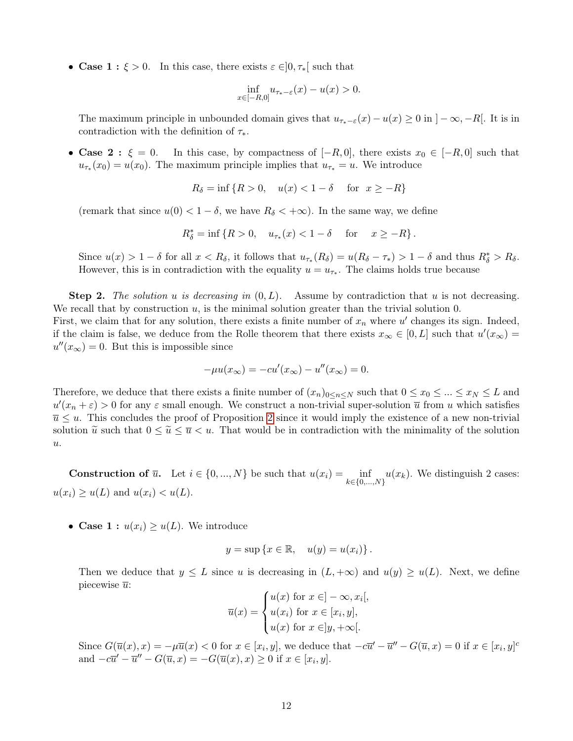• Case 1 :  $\xi > 0$ . In this case, there exists  $\varepsilon \in ]0, \tau_*[$  such that

$$
\inf_{x \in [-R,0]} u_{\tau_* - \varepsilon}(x) - u(x) > 0.
$$

The maximum principle in unbounded domain gives that  $u_{\tau^*-\varepsilon}(x) - u(x) \ge 0$  in  $]-\infty, -R[$ . It is in contradiction with the definition of  $\tau_*$ .

• Case 2:  $\xi = 0$ . In this case, by compactness of  $[-R, 0]$ , there exists  $x_0 \in [-R, 0]$  such that  $u_{\tau_*}(x_0) = u(x_0)$ . The maximum principle implies that  $u_{\tau_*} = u$ . We introduce

$$
R_{\delta} = \inf \{ R > 0, \quad u(x) < 1 - \delta \quad \text{for} \quad x \ge -R \}
$$

(remark that since  $u(0) < 1 - \delta$ , we have  $R_{\delta} < +\infty$ ). In the same way, we define

$$
R_{\delta}^{*} = \inf \{ R > 0, \quad u_{\tau_{*}}(x) < 1 - \delta \quad \text{for} \quad x \ge -R \}.
$$

Since  $u(x) > 1 - \delta$  for all  $x < R_{\delta}$ , it follows that  $u_{\tau_{*}}(R_{\delta}) = u(R_{\delta} - \tau_{*}) > 1 - \delta$  and thus  $R_{\delta}^{*} > R_{\delta}$ . However, this is in contradiction with the equality  $u = u_{\tau_*}$ . The claims holds true because

**Step 2.** The solution u is decreasing in  $(0, L)$ . Assume by contradiction that u is not decreasing. We recall that by construction  $u$ , is the minimal solution greater than the trivial solution 0. First, we claim that for any solution, there exists a finite number of  $x_n$  where  $u'$  changes its sign. Indeed, if the claim is false, we deduce from the Rolle theorem that there exists  $x_{\infty} \in [0, L]$  such that  $u'(x_{\infty}) =$  $u''(x_{\infty}) = 0$ . But this is impossible since

$$
-\mu u(x_{\infty}) = -cu'(x_{\infty}) - u''(x_{\infty}) = 0.
$$

Therefore, we deduce that there exists a finite number of  $(x_n)_{0\leq n\leq N}$  such that  $0\leq x_0\leq ... \leq x_N \leq L$  and  $u'(x_n + \varepsilon) > 0$  for any  $\varepsilon$  small enough. We construct a non-trivial super-solution  $\overline{u}$  from u which satisfies  $\overline{u} \leq u$ . This concludes the proof of Proposition [2](#page-6-3) since it would imply the existence of a new non-trivial solution  $\tilde{u}$  such that  $0 \le \tilde{u} \le \overline{u} < u$ . That would be in contradiction with the minimality of the solution u.

**Construction of**  $\overline{u}$ **.** Let  $i \in \{0, ..., N\}$  be such that  $u(x_i) = \inf_{k \in \{0, ..., N\}} u(x_k)$ . We distinguish 2 cases:  $u(x_i) \geq u(L)$  and  $u(x_i) < u(L)$ .

• Case 1 :  $u(x_i) \geq u(L)$ . We introduce

$$
y = \sup \{ x \in \mathbb{R}, \quad u(y) = u(x_i) \}.
$$

Then we deduce that  $y \leq L$  since u is decreasing in  $(L, +\infty)$  and  $u(y) \geq u(L)$ . Next, we define piecewise  $\overline{u}$ :

$$
\overline{u}(x) = \begin{cases} u(x) \text{ for } x \in ]-\infty, x_i[, \\ u(x_i) \text{ for } x \in [x_i, y], \\ u(x) \text{ for } x \in ]y, +\infty[. \end{cases}
$$

Since  $G(\overline{u}(x),x) = -\mu \overline{u}(x) < 0$  for  $x \in [x_i, y]$ , we deduce that  $-c\overline{u}' - \overline{u}'' - G(\overline{u}, x) = 0$  if  $x \in [x_i, y]^c$ and  $-c\overline{u}' - \overline{u}'' - G(\overline{u},x) = -G(\overline{u}(x),x) \ge 0$  if  $x \in [x_i, y]$ .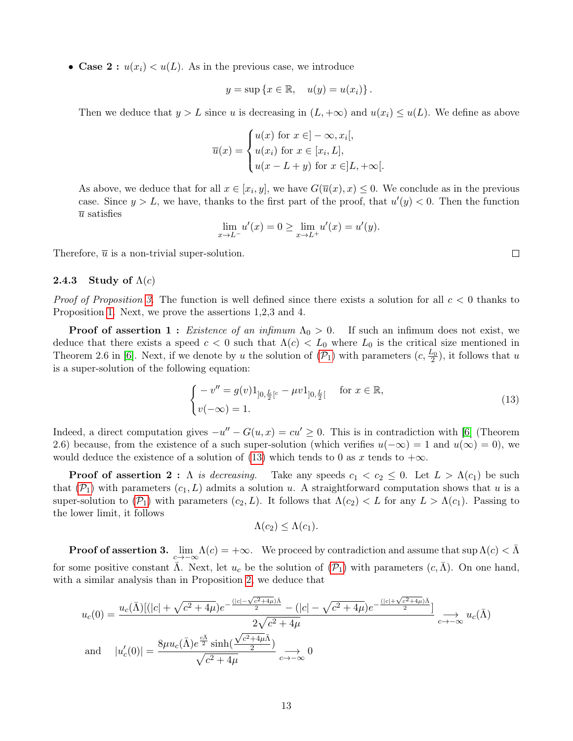• Case 2 :  $u(x_i) < u(L)$ . As in the previous case, we introduce

$$
y = \sup \{ x \in \mathbb{R}, \quad u(y) = u(x_i) \}.
$$

Then we deduce that  $y > L$  since u is decreasing in  $(L, +\infty)$  and  $u(x_i) \leq u(L)$ . We define as above

$$
\overline{u}(x) = \begin{cases} u(x) \text{ for } x \in ]-\infty, x_i[, \\ u(x_i) \text{ for } x \in [x_i, L], \\ u(x - L + y) \text{ for } x \in ]L, +\infty[. \end{cases}
$$

As above, we deduce that for all  $x \in [x_i, y]$ , we have  $G(\overline{u}(x), x) \leq 0$ . We conclude as in the previous case. Since  $y > L$ , we have, thanks to the first part of the proof, that  $u'(y) < 0$ . Then the function  $\bar{u}$  satisfies

$$
\lim_{x \to L^{-}} u'(x) = 0 \ge \lim_{x \to L^{+}} u'(x) = u'(y).
$$

Therefore,  $\overline{u}$  is a non-trivial super-solution.

#### 2.4.3 Study of  $\Lambda(c)$

*Proof of Proposition [3.](#page-6-2)* The function is well defined since there exists a solution for all  $c < 0$  thanks to Proposition [1.](#page-5-2) Next, we prove the assertions 1,2,3 and 4.

**Proof of assertion 1 :** Existence of an infimum  $\Lambda_0 > 0$ . If such an infimum does not exist, we deduce that there exists a speed  $c < 0$  such that  $\Lambda(c) < L_0$  where  $L_0$  is the critical size mentioned in Theorem 2.6 in [\[6\]](#page-28-6). Next, if we denote by u the solution of  $(\mathcal{P}_1)$  $(\mathcal{P}_1)$  $(\mathcal{P}_1)$  with parameters  $(c, \frac{L_0}{2})$ , it follows that u is a super-solution of the following equation:

<span id="page-12-0"></span>
$$
\begin{cases}\n-v'' = g(v)1_{]0, \frac{L}{2}[c} - \mu v1_{]0, \frac{L}{2}[} & \text{for } x \in \mathbb{R}, \\
v(-\infty) = 1.\n\end{cases}
$$
\n(13)

Indeed, a direct computation gives  $-u'' - G(u, x) = cu' \geq 0$ . This is in contradiction with [\[6\]](#page-28-6) (Theorem 2.6) because, from the existence of a such super-solution (which verifies  $u(-\infty) = 1$  and  $u(\infty) = 0$ ), we would deduce the existence of a solution of [\(13\)](#page-12-0) which tends to 0 as x tends to  $+\infty$ .

**Proof of assertion 2 :**  $\Lambda$  is decreasing. Take any speeds  $c_1 < c_2 \leq 0$ . Let  $L > \Lambda(c_1)$  be such that  $(\mathcal{P}_1)$  $(\mathcal{P}_1)$  $(\mathcal{P}_1)$  with parameters  $(c_1, L)$  admits a solution u. A straightforward computation shows that u is a super-solution to  $(\mathcal{P}_1)$  $(\mathcal{P}_1)$  $(\mathcal{P}_1)$  with parameters  $(c_2, L)$ . It follows that  $\Lambda(c_2) < L$  for any  $L > \Lambda(c_1)$ . Passing to the lower limit, it follows

$$
\Lambda(c_2) \leq \Lambda(c_1).
$$

**Proof of assertion 3.**  $\lim_{c\to-\infty}\Lambda(c) = +\infty$ . We proceed by contradiction and assume that  $\sup \Lambda(c) < \bar{\Lambda}$ for some positive constant  $\bar{\Lambda}$ . Next, let  $u_c$  be the solution of  $(\mathcal{P}_1)$  $(\mathcal{P}_1)$  $(\mathcal{P}_1)$  with parameters  $(c,\bar{\Lambda})$ . On one hand, with a similar analysis than in Proposition [2,](#page-7-5) we deduce that

$$
u_c(0) = \frac{u_c(\bar{\Lambda})[(|c| + \sqrt{c^2 + 4\mu})e^{-\frac{(|c| - \sqrt{c^2 + 4\mu})\bar{\Lambda}}{2}} - (|c| - \sqrt{c^2 + 4\mu})e^{-\frac{(|c| + \sqrt{c^2 + 4\mu})\bar{\Lambda}}{2}}]}{2\sqrt{c^2 + 4\mu}} \Big|_{c \to -\infty} u_c(\bar{\Lambda})
$$
  
and 
$$
|u_c'(0)| = \frac{8\mu u_c(\bar{\Lambda})e^{\frac{c\bar{\Lambda}}{2}} \sinh(\frac{\sqrt{c^2 + 4\mu}\bar{\Lambda}}{2})}{\sqrt{c^2 + 4\mu}} \Big|_{c \to -\infty} 0
$$

 $\Box$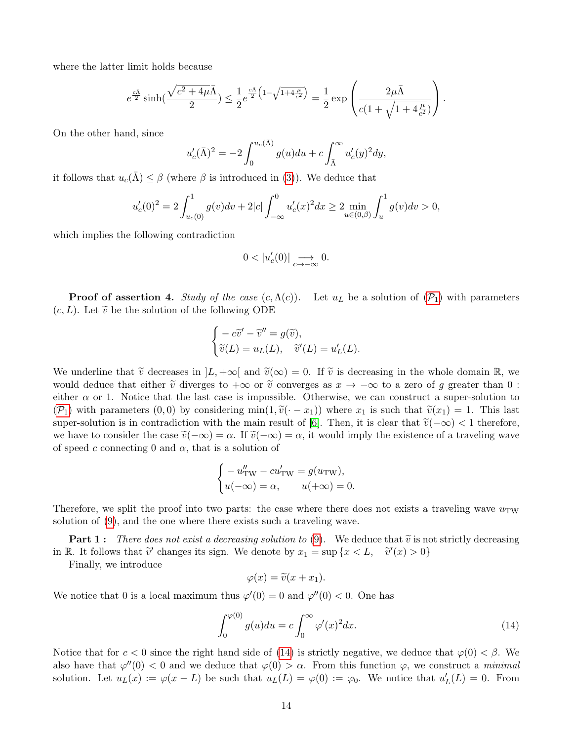where the latter limit holds because

$$
e^{\frac{c\bar{\Lambda}}{2}}\sinh(\frac{\sqrt{c^2+4\mu}\bar{\Lambda}}{2})\leq \frac{1}{2}e^{\frac{c\bar{\Lambda}}{2}\left(1-\sqrt{1+4\frac{\mu}{c^2}}\right)}=\frac{1}{2}\exp\left(\frac{2\mu\bar{\Lambda}}{c(1+\sqrt{1+4\frac{\mu}{c^2}})}\right).
$$

On the other hand, since

$$
u'_c(\bar{\Lambda})^2 = -2 \int_0^{u_c(\bar{\Lambda})} g(u) du + c \int_{\bar{\Lambda}}^{\infty} u'_c(y)^2 dy,
$$

it follows that  $u_c(\bar{\Lambda}) \leq \beta$  (where  $\beta$  is introduced in [\(3\)](#page-2-6)). We deduce that

$$
u_c'(0)^2 = 2 \int_{u_c(0)}^1 g(v) dv + 2|c| \int_{-\infty}^0 u_c'(x)^2 dx \ge 2 \min_{u \in (0,\beta)} \int_u^1 g(v) dv > 0,
$$

which implies the following contradiction

$$
0<|u_c'(0)|\underset{c\to -\infty}{\longrightarrow} 0.
$$

**[P](#page-2-0)roof of assertion 4.** Study of the case  $(c, \Lambda(c))$ . Let  $u<sub>L</sub>$  be a solution of  $(\mathcal{P}_1)$  with parameters  $(c, L)$ . Let  $\tilde{v}$  be the solution of the following ODE

$$
\begin{cases}\n-c\widetilde{v}' - \widetilde{v}'' = g(\widetilde{v}), \\
\widetilde{v}(L) = u_L(L), \quad \widetilde{v}'(L) = u'_L(L).\n\end{cases}
$$

We underline that  $\tilde{v}$  decreases in  $|L, +\infty|$  and  $\tilde{v}(\infty) = 0$ . If  $\tilde{v}$  is decreasing in the whole domain R, we would deduce that either  $\tilde{v}$  diverges to  $+\infty$  or  $\tilde{v}$  converges as  $x \to -\infty$  to a zero of g greater than 0 : either  $\alpha$  or 1. Notice that the last case is impossible. Otherwise, we can construct a super-solution to  $(\mathcal{P}_1)$  $(\mathcal{P}_1)$  $(\mathcal{P}_1)$  with parameters  $(0, 0)$  by considering min $(1, \tilde{v}(\cdot - x_1))$  where  $x_1$  is such that  $\tilde{v}(x_1) = 1$ . This last super-solution is in contradiction with the main result of [\[6\]](#page-28-6). Then, it is clear that  $\tilde{v}(-\infty) < 1$  therefore, we have to consider the case  $\tilde{v}(-\infty) = \alpha$ . If  $\tilde{v}(-\infty) = \alpha$ , it would imply the existence of a traveling wave of speed c connecting 0 and  $\alpha$ , that is a solution of

$$
\begin{cases}\n-u''_{\text{TW}} - cu'_{\text{TW}} = g(u_{\text{TW}}), \\
u(-\infty) = \alpha, \quad u(+\infty) = 0.\n\end{cases}
$$

Therefore, we split the proof into two parts: the case where there does not exists a traveling wave  $u_{\text{TW}}$ solution of [\(9\)](#page-6-4), and the one where there exists such a traveling wave.

**Part 1:** There does not exist a decreasing solution to [\(9\)](#page-6-4). We deduce that  $\tilde{v}$  is not strictly decreasing in R. It follows that  $\tilde{v}'$  changes its sign. We denote by  $x_1 = \sup \{x < L, \quad \tilde{v}'(x) > 0\}$ 

Finally, we introduce

$$
\varphi(x) = \tilde{v}(x + x_1).
$$

We notice that 0 is a local maximum thus  $\varphi'(0) = 0$  and  $\varphi''(0) < 0$ . One has

<span id="page-13-0"></span>
$$
\int_0^{\varphi(0)} g(u) du = c \int_0^\infty \varphi'(x)^2 dx.
$$
\n(14)

Notice that for  $c < 0$  since the right hand side of [\(14\)](#page-13-0) is strictly negative, we deduce that  $\varphi(0) < \beta$ . We also have that  $\varphi''(0) < 0$  and we deduce that  $\varphi(0) > \alpha$ . From this function  $\varphi$ , we construct a *minimal* solution. Let  $u_L(x) := \varphi(x - L)$  be such that  $u_L(L) = \varphi(0) := \varphi_0$ . We notice that  $u'_L(L) = 0$ . From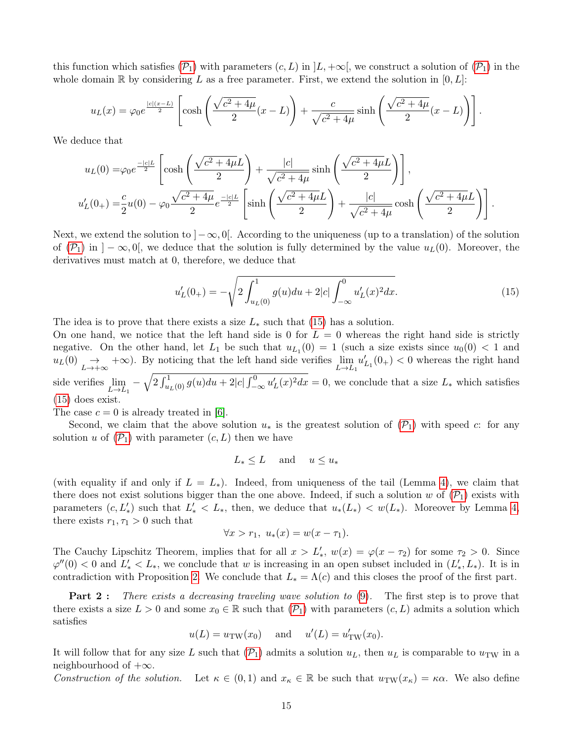this function which satisfies  $(\mathcal{P}_1)$  $(\mathcal{P}_1)$  $(\mathcal{P}_1)$  with parameters  $(c, L)$  in  $|L, +\infty|$ , we construct a solution of  $(\mathcal{P}_1)$  in the whole domain R by considering L as a free parameter. First, we extend the solution in  $[0, L]$ :

$$
u_L(x) = \varphi_0 e^{\frac{|c|(x-L)}{2}} \left[ \cosh\left(\frac{\sqrt{c^2+4\mu}}{2}(x-L)\right) + \frac{c}{\sqrt{c^2+4\mu}} \sinh\left(\frac{\sqrt{c^2+4\mu}}{2}(x-L)\right) \right].
$$

We deduce that

$$
u_L(0) = \varphi_0 e^{-\frac{c|c|L}{2}} \left[ \cosh\left(\frac{\sqrt{c^2 + 4\mu}L}{2}\right) + \frac{|c|}{\sqrt{c^2 + 4\mu}} \sinh\left(\frac{\sqrt{c^2 + 4\mu}L}{2}\right) \right],
$$
  

$$
u'_L(0_+) = \frac{c}{2}u(0) - \varphi_0 \frac{\sqrt{c^2 + 4\mu}}{2} e^{-\frac{|c|L}{2}} \left[ \sinh\left(\frac{\sqrt{c^2 + 4\mu}L}{2}\right) + \frac{|c|}{\sqrt{c^2 + 4\mu}} \cosh\left(\frac{\sqrt{c^2 + 4\mu}L}{2}\right) \right].
$$

Next, we extend the solution to  $]-\infty,0[$ . According to the uniqueness (up to a translation) of the solution of  $(\mathcal{P}_1)$  $(\mathcal{P}_1)$  $(\mathcal{P}_1)$  in  $]-\infty,0[$ , we deduce that the solution is fully determined by the value  $u_L(0)$ . Moreover, the derivatives must match at 0, therefore, we deduce that

<span id="page-14-0"></span>
$$
u'_L(0_+) = -\sqrt{2 \int_{u_L(0)}^1 g(u) du + 2|c| \int_{-\infty}^0 u'_L(x)^2 dx}.
$$
 (15)

The idea is to prove that there exists a size  $L_*$  such that [\(15\)](#page-14-0) has a solution.

On one hand, we notice that the left hand side is 0 for  $L = 0$  whereas the right hand side is strictly negative. On the other hand, let  $L_1$  be such that  $u_{L_1}(0) = 1$  (such a size exists since  $u_0(0) < 1$  and  $u_L(0) \rightarrow L \rightarrow +\infty$ . By noticing that the left hand side verifies  $\lim_{L\rightarrow L_1} u'_{L_1}(0_+) < 0$  whereas the right hand side verifies  $\lim_{L\to L_1} -\sqrt{2\int_{u_L(0)}^1 g(u)du+2|c|\int_{-\infty}^0 u'_L(x)^2dx}=0$ , we conclude that a size  $L_*$  which satisfies [\(15\)](#page-14-0) does exist.

The case  $c = 0$  is already treated in [\[6\]](#page-28-6).

Second, we claim that the above solution  $u_*$  is the greatest solution of  $(\mathcal{P}_1)$  $(\mathcal{P}_1)$  $(\mathcal{P}_1)$  with speed c: for any solution u of  $(\mathcal{P}_1)$  $(\mathcal{P}_1)$  $(\mathcal{P}_1)$  with parameter  $(c, L)$  then we have

$$
L_* \le L \quad \text{and} \quad u \le u_*
$$

(with equality if and only if  $L = L_*)$ ). Indeed, from uniqueness of the tail (Lemma [4\)](#page-9-2), we claim that there does not exist solutions bigger than the one above. Indeed, if such a solution w of  $(\mathcal{P}_1)$  $(\mathcal{P}_1)$  $(\mathcal{P}_1)$  exists with parameters  $(c, L'_*)$  such that  $L'_* < L_*$ , then, we deduce that  $u_*(L_*) < w(L_*)$ . Moreover by Lemma [4,](#page-9-2) there exists  $r_1, \tau_1 > 0$  such that

$$
\forall x > r_1, u_*(x) = w(x - \tau_1).
$$

The Cauchy Lipschitz Theorem, implies that for all  $x > L'_*, w(x) = \varphi(x - \tau_2)$  for some  $\tau_2 > 0$ . Since  $\varphi''(0) < 0$  and  $L'_* < L_*,$  we conclude that w is increasing in an open subset included in  $(L'_*, L_*)$ . It is in contradiction with Proposition [2.](#page-6-3) We conclude that  $L_* = \Lambda(c)$  and this closes the proof of the first part.

**Part 2:** There exists a decreasing traveling wave solution to [\(9\)](#page-6-4). The first step is to prove that there exists a size  $L > 0$  and some  $x_0 \in \mathbb{R}$  such that  $(\mathcal{P}_1)$  $(\mathcal{P}_1)$  $(\mathcal{P}_1)$  with parameters  $(c, L)$  admits a solution which satisfies

$$
u(L) = u_{TW}(x_0)
$$
 and  $u'(L) = u'_{TW}(x_0)$ .

It will follow that for any size L such that  $(\mathcal{P}_1)$  $(\mathcal{P}_1)$  $(\mathcal{P}_1)$  admits a solution  $u_L$ , then  $u_L$  is comparable to  $u_{\text{TW}}$  in a neighbourhood of  $+\infty$ .

Construction of the solution. Let  $\kappa \in (0,1)$  and  $x_{\kappa} \in \mathbb{R}$  be such that  $u_{TW}(x_{\kappa}) = \kappa \alpha$ . We also define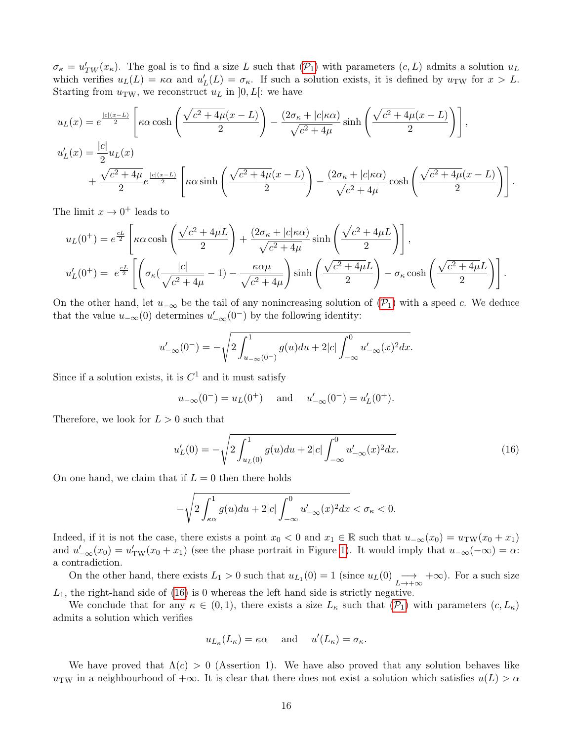$\sigma_{\kappa} = u'_{TW}(x_{\kappa})$ . The goal is to find a size L such that  $(\mathcal{P}_1)$  $(\mathcal{P}_1)$  $(\mathcal{P}_1)$  with parameters  $(c, L)$  admits a solution  $u_L$ which verifies  $u_L(L) = \kappa \alpha$  and  $u'_L(L) = \sigma_{\kappa}$ . If such a solution exists, it is defined by  $u_{TW}$  for  $x > L$ . Starting from  $u_{\text{TW}}$ , we reconstruct  $u_L$  in  $[0, L]$ : we have

$$
u_L(x) = e^{\frac{|c|(x-L)}{2}} \left[ \kappa \alpha \cosh\left(\frac{\sqrt{c^2 + 4\mu}(x-L)}{2}\right) - \frac{(2\sigma_{\kappa} + |c|\kappa\alpha)}{\sqrt{c^2 + 4\mu}} \sinh\left(\frac{\sqrt{c^2 + 4\mu}(x-L)}{2}\right) \right],
$$
  

$$
u'_L(x) = \frac{|c|}{2} u_L(x)
$$
  

$$
+ \frac{\sqrt{c^2 + 4\mu}}{2} e^{\frac{|c|(x-L)}{2}} \left[ \kappa \alpha \sinh\left(\frac{\sqrt{c^2 + 4\mu}(x-L)}{2}\right) - \frac{(2\sigma_{\kappa} + |c|\kappa\alpha)}{\sqrt{c^2 + 4\mu}} \cosh\left(\frac{\sqrt{c^2 + 4\mu}(x-L)}{2}\right) \right].
$$

The limit  $x \to 0^+$  leads to

$$
u_L(0^+) = e^{\frac{cL}{2}} \left[ \kappa \alpha \cosh\left(\frac{\sqrt{c^2 + 4\mu}L}{2}\right) + \frac{(2\sigma_\kappa + |c|\kappa\alpha)}{\sqrt{c^2 + 4\mu}} \sinh\left(\frac{\sqrt{c^2 + 4\mu}L}{2}\right) \right],
$$
  

$$
u'_L(0^+) = e^{\frac{cL}{2}} \left[ \left( \sigma_\kappa \left( \frac{|c|}{\sqrt{c^2 + 4\mu}} - 1 \right) - \frac{\kappa \alpha \mu}{\sqrt{c^2 + 4\mu}} \right) \sinh\left(\frac{\sqrt{c^2 + 4\mu}L}{2}\right) - \sigma_\kappa \cosh\left(\frac{\sqrt{c^2 + 4\mu}L}{2}\right) \right].
$$

On the other hand, let  $u_{-\infty}$  be the tail of any nonincreasing solution of  $(\mathcal{P}_1)$  $(\mathcal{P}_1)$  $(\mathcal{P}_1)$  with a speed c. We deduce that the value  $u_{-\infty}(0)$  determines  $u'_{-\infty}(0^-)$  by the following identity:

$$
u'_{-\infty}(0^-) = -\sqrt{2\int_{u_{-\infty}(0^-)}^1 g(u) du + 2|c| \int_{-\infty}^0 u'_{-\infty}(x)^2 dx}.
$$

Since if a solution exists, it is  $C^1$  and it must satisfy

$$
u_{-\infty}(0^-) = u_L(0^+) \text{ and } u'_{-\infty}(0^-) = u'_L(0^+).
$$

Therefore, we look for  $L > 0$  such that

<span id="page-15-0"></span>
$$
u_L'(0) = -\sqrt{2\int_{u_L(0)}^1 g(u) du + 2|c| \int_{-\infty}^0 u_{-\infty}'(x)^2 dx}.
$$
 (16)

On one hand, we claim that if  $L = 0$  then there holds

$$
-\sqrt{2\int_{\kappa\alpha}^1 g(u)du+2|c| \int_{-\infty}^0 u'_{-\infty}(x)^2dx}<\sigma_\kappa<0.
$$

Indeed, if it is not the case, there exists a point  $x_0 < 0$  and  $x_1 \in \mathbb{R}$  such that  $u_{-\infty}(x_0) = u_{\text{TW}}(x_0 + x_1)$ and  $u'_{-\infty}(x_0) = u'_{\text{TW}}(x_0 + x_1)$  (see the phase portrait in Figure [1\)](#page-16-0). It would imply that  $u_{-\infty}(-\infty) = \alpha$ : a contradiction.

On the other hand, there exists  $L_1 > 0$  such that  $u_{L_1}(0) = 1$  (since  $u_L(0) \longrightarrow_{L \to +\infty} +\infty$ ). For a such size  $L_1$ , the right-hand side of [\(16\)](#page-15-0) is 0 whereas the left hand side is strictly negative.

We conclude that for any  $\kappa \in (0,1)$ , there exists a size  $L_{\kappa}$  such that  $(\mathcal{P}_1)$  $(\mathcal{P}_1)$  $(\mathcal{P}_1)$  with parameters  $(c, L_{\kappa})$ admits a solution which verifies

$$
u_{L_{\kappa}}(L_{\kappa}) = \kappa \alpha
$$
 and  $u'(L_{\kappa}) = \sigma_{\kappa}$ .

We have proved that  $\Lambda(c) > 0$  (Assertion 1). We have also proved that any solution behaves like u<sub>TW</sub> in a neighbourhood of  $+\infty$ . It is clear that there does not exist a solution which satisfies  $u(L) > \alpha$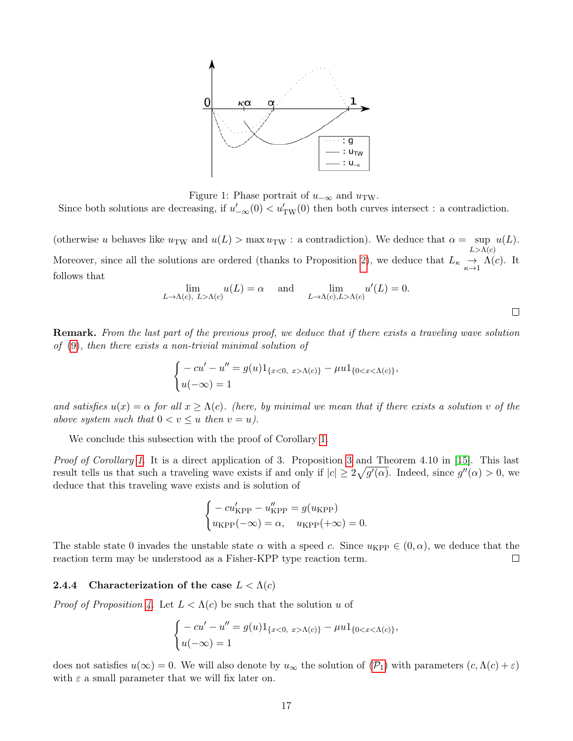

<span id="page-16-0"></span>Figure 1: Phase portrait of  $u_{-\infty}$  and  $u_{\text{TW}}$ .

Since both solutions are decreasing, if  $u'_{-\infty}(0) < u'_{TW}(0)$  then both curves intersect : a contradiction.

(otherwise u behaves like  $u_{\text{TW}}$  and  $u(L) > \max u_{\text{TW}}$ : a contradiction). We deduce that  $\alpha = \sup u(L)$ .  $L>\Lambda(c)$ Moreover, since all the solutions are ordered (thanks to Proposition [2\)](#page-6-3), we deduce that  $L_{\kappa} \underset{\kappa \to 1}{\to} \Lambda(c)$ . It follows that

$$
\lim_{L \to \Lambda(c), \ L > \Lambda(c)} u(L) = \alpha \quad \text{and} \quad \lim_{L \to \Lambda(c), L > \Lambda(c)} u'(L) = 0.
$$

 $\Box$ 

Remark. From the last part of the previous proof, we deduce that if there exists a traveling wave solution of [\(9\)](#page-6-4), then there exists a non-trivial minimal solution of

$$
\begin{cases}\n-cu' - u'' = g(u)1_{\{x<0, \ x>\Lambda(c)\}} - \mu u 1_{\{0 < x < \Lambda(c)\}}, \\
u(-\infty) = 1\n\end{cases}
$$

and satisfies  $u(x) = \alpha$  for all  $x \geq \Lambda(c)$ . (here, by minimal we mean that if there exists a solution v of the above system such that  $0 < v \leq u$  then  $v = u$ ).

We conclude this subsection with the proof of Corollary [1.](#page-7-3)

Proof of Corollary [1.](#page-7-3) It is a direct application of [3](#page-6-2). Proposition 3 and Theorem 4.10 in [\[15\]](#page-28-0). This last result tells us that such a traveling wave exists if and only if  $|c| \geq 2\sqrt{g'(\alpha)}$ . Indeed, since  $g''(\alpha) > 0$ , we deduce that this traveling wave exists and is solution of

$$
\begin{cases}\n-cu'_{\text{KPP}} - u''_{\text{KPP}} = g(u_{\text{KPP}}) \\
u_{\text{KPP}}(-\infty) = \alpha, \quad u_{\text{KPP}}(+\infty) = 0.\n\end{cases}
$$

The stable state 0 invades the unstable state  $\alpha$  with a speed c. Since  $u_{\text{KPP}} \in (0, \alpha)$ , we deduce that the reaction term may be understood as a Fisher-KPP type reaction term.  $\Box$ 

# 2.4.4 Characterization of the case  $L < \Lambda(c)$

*Proof of Proposition [4.](#page-7-2)* Let  $L < \Lambda(c)$  be such that the solution u of

$$
\begin{cases}\n-cu' - u'' = g(u)1_{\{x<0, \ x>\Lambda(c)\}} - \mu u 1_{\{0 < x < \Lambda(c)\}}, \\
u(-\infty) = 1\n\end{cases}
$$

does not satisfies  $u(\infty) = 0$ . We will also denote by  $u_{\infty}$  the solution of  $(\mathcal{P}_1)$  $(\mathcal{P}_1)$  $(\mathcal{P}_1)$  with parameters  $(c, \Lambda(c) + \varepsilon)$ with  $\varepsilon$  a small parameter that we will fix later on.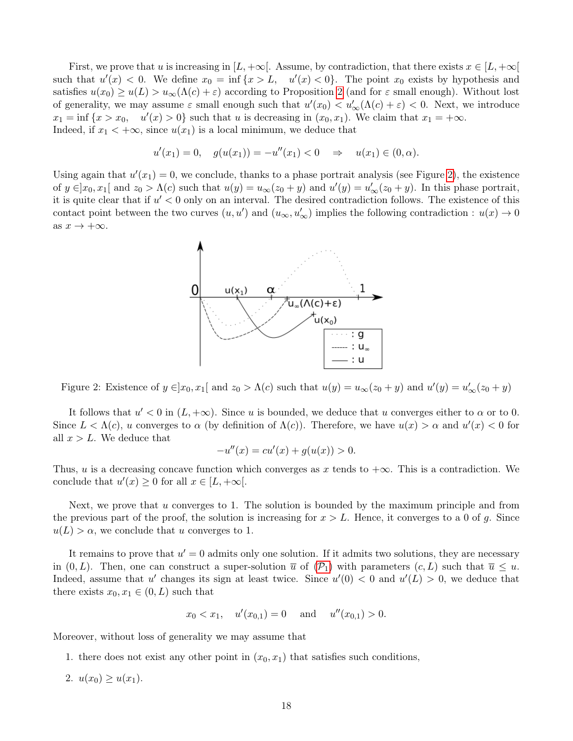First, we prove that u is increasing in  $[L, +\infty]$ . Assume, by contradiction, that there exists  $x \in [L, +\infty]$ such that  $u'(x) < 0$ . We define  $x_0 = \inf\{x > L, u'(x) < 0\}$ . The point  $x_0$  exists by hypothesis and satisfies  $u(x_0) \ge u(L) > u_\infty(\Lambda(c) + \varepsilon)$  according to Proposition [2](#page-6-3) (and for  $\varepsilon$  small enough). Without lost of generality, we may assume  $\varepsilon$  small enough such that  $u'(x_0) < u'_{\infty}(\Lambda(c) + \varepsilon) < 0$ . Next, we introduce  $x_1 = \inf \{x > x_0, \quad u'(x) > 0\}$  such that u is decreasing in  $(x_0, x_1)$ . We claim that  $x_1 = +\infty$ . Indeed, if  $x_1 < +\infty$ , since  $u(x_1)$  is a local minimum, we deduce that

$$
u'(x_1) = 0, \quad g(u(x_1)) = -u''(x_1) < 0 \quad \Rightarrow \quad u(x_1) \in (0, \alpha).
$$

Using again that  $u'(x_1) = 0$ , we conclude, thanks to a phase portrait analysis (see Figure [2\)](#page-17-0), the existence of  $y \in ]x_0, x_1[$  and  $z_0 > \Lambda(c)$  such that  $u(y) = u_{\infty}(z_0 + y)$  and  $u'(y) = u'_{\infty}(z_0 + y)$ . In this phase portrait, it is quite clear that if  $u' < 0$  only on an interval. The desired contradiction follows. The existence of this contact point between the two curves  $(u, u')$  and  $(u_{\infty}, u'_{\infty})$  implies the following contradiction :  $u(x) \to 0$ as  $x \to +\infty$ .



<span id="page-17-0"></span>Figure 2: Existence of  $y \in ]x_0, x_1[$  and  $z_0 > \Lambda(c)$  such that  $u(y) = u_{\infty}(z_0 + y)$  and  $u'(y) = u'_{\infty}(z_0 + y)$ 

It follows that  $u' < 0$  in  $(L, +\infty)$ . Since u is bounded, we deduce that u converges either to  $\alpha$  or to 0. Since  $L < \Lambda(c)$ , u converges to  $\alpha$  (by definition of  $\Lambda(c)$ ). Therefore, we have  $u(x) > \alpha$  and  $u'(x) < 0$  for all  $x > L$ . We deduce that

$$
-u''(x) = cu'(x) + g(u(x)) > 0.
$$

Thus, u is a decreasing concave function which converges as x tends to  $+\infty$ . This is a contradiction. We conclude that  $u'(x) \geq 0$  for all  $x \in [L, +\infty]$ .

Next, we prove that u converges to 1. The solution is bounded by the maximum principle and from the previous part of the proof, the solution is increasing for  $x > L$ . Hence, it converges to a 0 of g. Since  $u(L) > \alpha$ , we conclude that u converges to 1.

It remains to prove that  $u' = 0$  admits only one solution. If it admits two solutions, they are necessary in  $(0, L)$ . Then, one can construct a super-solution  $\overline{u}$  of  $(\mathcal{P}_1)$  $(\mathcal{P}_1)$  $(\mathcal{P}_1)$  with parameters  $(c, L)$  such that  $\overline{u} \leq u$ . Indeed, assume that u' changes its sign at least twice. Since  $u'(0) < 0$  and  $u'(L) > 0$ , we deduce that there exists  $x_0, x_1 \in (0, L)$  such that

$$
x_0 < x_1, \quad u'(x_{0,1}) = 0 \quad \text{and} \quad u''(x_{0,1}) > 0.
$$

Moreover, without loss of generality we may assume that

- 1. there does not exist any other point in  $(x_0, x_1)$  that satisfies such conditions,
- 2.  $u(x_0) \geq u(x_1)$ .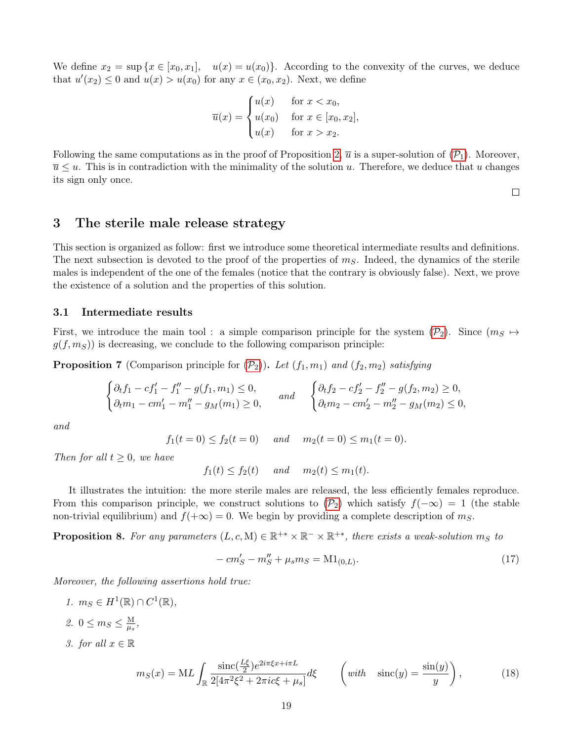We define  $x_2 = \sup\{x \in [x_0, x_1], \quad u(x) = u(x_0)\}\.$  According to the convexity of the curves, we deduce that  $u'(x_2) \leq 0$  and  $u(x) > u(x_0)$  for any  $x \in (x_0, x_2)$ . Next, we define

$$
\overline{u}(x) = \begin{cases} u(x) & \text{for } x < x_0, \\ u(x_0) & \text{for } x \in [x_0, x_2], \\ u(x) & \text{for } x > x_2. \end{cases}
$$

Following the same computations as in the proof of Proposition [2,](#page-6-3)  $\bar{u}$  is a super-solution of  $(\mathcal{P}_1)$  $(\mathcal{P}_1)$  $(\mathcal{P}_1)$ . Moreover,  $\overline{u} \leq u$ . This is in contradiction with the minimality of the solution u. Therefore, we deduce that u changes its sign only once.

 $\Box$ 

# <span id="page-18-0"></span>3 The sterile male release strategy

This section is organized as follow: first we introduce some theoretical intermediate results and definitions. The next subsection is devoted to the proof of the properties of  $m<sub>S</sub>$ . Indeed, the dynamics of the sterile males is independent of the one of the females (notice that the contrary is obviously false). Next, we prove the existence of a solution and the properties of this solution.

### 3.1 Intermediate results

First, we introduce the main tool : a simple comparison principle for the system  $(\mathcal{P}_2)$  $(\mathcal{P}_2)$  $(\mathcal{P}_2)$ . Since  $(m_S \mapsto$  $g(f, m<sub>S</sub>)$ ) is decreasing, we conclude to the following comparison principle:

<span id="page-18-1"></span>**[P](#page-2-1)roposition 7** (Comparison principle for  $(\mathcal{P}_2)$ ). Let  $(f_1, m_1)$  and  $(f_2, m_2)$  satisfying

$$
\begin{cases} \partial_t f_1 - c f_1' - f_1'' - g(f_1, m_1) \le 0, \\ \partial_t m_1 - c m_1' - m_1'' - g_M(m_1) \ge 0, \end{cases} \quad \text{and} \quad \begin{cases} \partial_t f_2 - c f_2' - f_2'' - g(f_2, m_2) \ge 0, \\ \partial_t m_2 - c m_2' - m_2'' - g_M(m_2) \le 0, \end{cases}
$$

and

 $f_1(t=0) \le f_2(t=0)$  and  $m_2(t=0) \le m_1(t=0)$ .

Then for all  $t \geq 0$ , we have

 $f_1(t) \le f_2(t)$  and  $m_2(t) \le m_1(t)$ .

It illustrates the intuition: the more sterile males are released, the less efficiently females reproduce. From this comparison principle, we construct solutions to  $(\mathcal{P}_2)$  $(\mathcal{P}_2)$  $(\mathcal{P}_2)$  which satisfy  $f(-\infty) = 1$  (the stable non-trivial equilibrium) and  $f(+\infty) = 0$ . We begin by providing a complete description of  $m<sub>S</sub>$ .

<span id="page-18-2"></span>**Proposition 8.** For any parameters  $(L, c, M) \in \mathbb{R}^{+*} \times \mathbb{R}^{-} \times \mathbb{R}^{+*}$ , there exists a weak-solution  $m_S$  to

<span id="page-18-3"></span>
$$
-cm'_{S} - m''_{S} + \mu_{s}m_{S} = M1_{(0,L)}.
$$
\n(17)

Moreover, the following assertions hold true:

1.  $m_S \in H^1(\mathbb{R}) \cap C^1(\mathbb{R}),$ 2.  $0 \leq m_S \leq \frac{M}{\mu_s}$  $\frac{\rm M}{\mu_s},$ 3. for all  $x \in \mathbb{R}$ Z  $\text{sinc}(\frac{L\xi}{2})e^{2i\pi \xi x + i\pi L}$  $\setminus$ 

<span id="page-18-4"></span>
$$
m_S(x) = ML \int_{\mathbb{R}} \frac{\text{sinc}\left(\frac{L\zeta}{2}\right)e^{2i\pi\xi x + i\pi L}}{2[4\pi^2\xi^2 + 2\pi i c\xi + \mu_s]} d\xi \qquad \left(\text{with} \quad \text{sinc}(y) = \frac{\sin(y)}{y}\right),\tag{18}
$$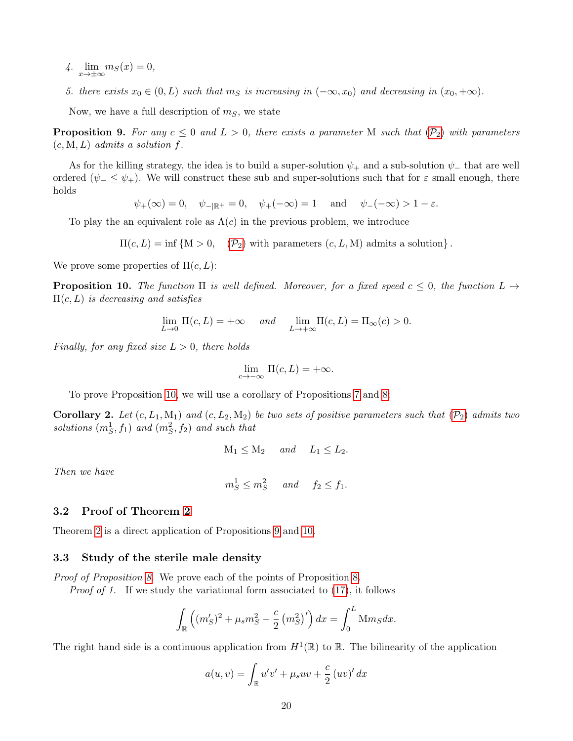- 4.  $\lim_{x \to \pm \infty} m_S(x) = 0$ ,
- 5. there exists  $x_0 \in (0, L)$  such that  $m_S$  is increasing in  $(-\infty, x_0)$  and decreasing in  $(x_0, +\infty)$ .

Now, we have a full description of  $m<sub>S</sub>$ , we state

<span id="page-19-1"></span>**[P](#page-2-1)roposition 9.** For any  $c \leq 0$  and  $L > 0$ , there exists a parameter M such that  $(\mathcal{P}_2)$  with parameters  $(c, M, L)$  admits a solution f.

As for the killing strategy, the idea is to build a super-solution  $\psi_+$  and a sub-solution  $\psi_-$  that are well ordered  $(\psi_-\leq \psi_+)$ . We will construct these sub and super-solutions such that for  $\varepsilon$  small enough, there holds

 $\psi_{+}(\infty) = 0$ ,  $\psi_{-|\mathbb{R}^+} = 0$ ,  $\psi_{+}(-\infty) = 1$  and  $\psi_{-}(-\infty) > 1 - \varepsilon$ .

To play the an equivalent role as  $\Lambda(c)$  in the previous problem, we introduce

 $\Pi(c, L) = \inf \{ M > 0, \quad (P_2) \text{ with parameters } (c, L, M) \text{ admits a solution } \}.$  $\Pi(c, L) = \inf \{ M > 0, \quad (P_2) \text{ with parameters } (c, L, M) \text{ admits a solution } \}.$  $\Pi(c, L) = \inf \{ M > 0, \quad (P_2) \text{ with parameters } (c, L, M) \text{ admits a solution } \}.$ 

We prove some properties of  $\Pi(c,L)$ :

<span id="page-19-0"></span>**Proposition 10.** The function  $\Pi$  is well defined. Moreover, for a fixed speed  $c \leq 0$ , the function  $L \mapsto$  $\Pi(c, L)$  is decreasing and satisfies

$$
\lim_{L \to 0} \Pi(c, L) = +\infty \quad \text{and} \quad \lim_{L \to +\infty} \Pi(c, L) = \Pi_{\infty}(c) > 0.
$$

Finally, for any fixed size  $L > 0$ , there holds

$$
\lim_{c \to -\infty} \Pi(c, L) = +\infty.
$$

To prove Proposition [10,](#page-19-0) we will use a corollary of Propositions [7](#page-18-1) and [8:](#page-18-2)

**Corollary 2.** Let  $(c, L_1, M_1)$  and  $(c, L_2, M_2)$  be two sets of positive parameters such that  $(\mathcal{P}_2)$  $(\mathcal{P}_2)$  $(\mathcal{P}_2)$  admits two solutions  $(m_S^1, f_1)$  and  $(m_S^2, f_2)$  and such that

$$
M_1 \le M_2 \quad and \quad L_1 \le L_2.
$$

Then we have

$$
m_S^1 \le m_S^2
$$
 and  $f_2 \le f_1$ .

### 3.2 Proof of Theorem [2](#page-4-0)

Theorem [2](#page-4-0) is a direct application of Propositions [9](#page-19-1) and [10.](#page-19-0)

#### 3.3 Study of the sterile male density

Proof of Proposition [8.](#page-18-2) We prove each of the points of Proposition [8.](#page-18-2)

*Proof of 1.* If we study the variational form associated to [\(17\)](#page-18-3), it follows

$$
\int_{\mathbb{R}} \left( (m'_{S})^2 + \mu_{s} m_{S}^2 - \frac{c}{2} \left( m_{S}^2 \right)' \right) dx = \int_{0}^{L} \mathcal{M} m_{S} dx.
$$

The right hand side is a continuous application from  $H^1(\mathbb{R})$  to  $\mathbb{R}$ . The bilinearity of the application

$$
a(u, v) = \int_{\mathbb{R}} u'v' + \mu_s uv + \frac{c}{2} (uv)' dx
$$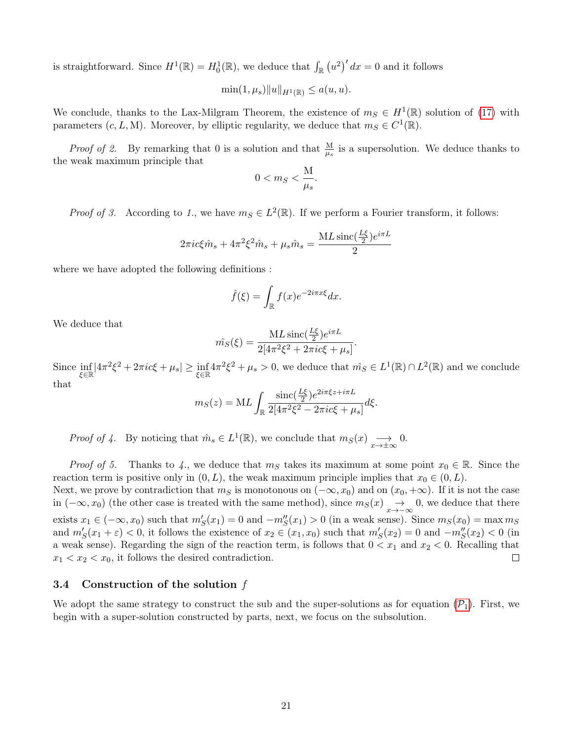is straightforward. Since  $H^1(\mathbb{R}) = H_0^1(\mathbb{R})$ , we deduce that  $\int_{\mathbb{R}} (u^2)' dx = 0$  and it follows

$$
\min(1,\mu_s)\|u\|_{H^1(\mathbb{R})}\leq a(u,u).
$$

We conclude, thanks to the Lax-Milgram Theorem, the existence of  $m<sub>S</sub> \in H<sup>1</sup>(\mathbb{R})$  solution of [\(17\)](#page-18-3) with parameters  $(c, L, M)$ . Moreover, by elliptic regularity, we deduce that  $m_S \in C^1(\mathbb{R})$ .

*Proof of 2.* By remarking that 0 is a solution and that  $\frac{M}{\mu_s}$  is a supersolution. We deduce thanks to the weak maximum principle that

$$
0 < m \, < \frac{M}{\mu_s}.
$$

*Proof of 3.* According to 1, we have  $m_S \in L^2(\mathbb{R})$ . If we perform a Fourier transform, it follows:

$$
2\pi i c \xi \hat{m}_s + 4\pi^2 \xi^2 \hat{m}_s + \mu_s \hat{m}_s = \frac{ML \operatorname{sinc}(\frac{L\xi}{2})e^{i\pi L}}{2}
$$

where we have adopted the following definitions :

$$
\hat{f}(\xi) = \int_{\mathbb{R}} f(x)e^{-2i\pi x\xi} dx.
$$

We deduce that

$$
\hat{m_S}(\xi) = \frac{ML \operatorname{sinc}\left(\frac{L\xi}{2}\right) e^{i\pi L}}{2[4\pi^2 \xi^2 + 2\pi i c\xi + \mu_s]}.
$$

Since  $\inf_{\xi \in \mathbb{R}} |4\pi^2 \xi^2 + 2\pi i c \xi + \mu_s| \ge \inf_{\xi \in \mathbb{R}} 4\pi^2 \xi^2 + \mu_s > 0$ , we deduce that  $\hat{m_S} \in L^1(\mathbb{R}) \cap L^2(\mathbb{R})$  and we conclude that

$$
m_S(z) = ML \int_{\mathbb{R}} \frac{\text{sinc}(\frac{L\xi}{2})e^{2i\pi\xi z + i\pi L}}{2[4\pi^2\xi^2 - 2\pi i c\xi + \mu_s]} d\xi.
$$

Proof of 4. By noticing that  $\hat{m}_s \in L^1(\mathbb{R})$ , we conclude that  $m_S(x) \longrightarrow_{x \to \pm \infty} 0$ .

*Proof of 5.* Thanks to 4., we deduce that  $m<sub>S</sub>$  takes its maximum at some point  $x<sub>0</sub> \in \mathbb{R}$ . Since the reaction term is positive only in  $(0, L)$ , the weak maximum principle implies that  $x_0 \in (0, L)$ .

Next, we prove by contradiction that  $m<sub>S</sub>$  is monotonous on  $(-\infty, x_0)$  and on  $(x_0, +\infty)$ . If it is not the case in  $(-\infty, x_0)$  (the other case is treated with the same method), since  $m_S(x) \rightarrow_{\infty} 0$ , we deduce that there exists  $x_1 \in (-\infty, x_0)$  such that  $m'_{S}(x_1) = 0$  and  $-m''_{S}(x_1) > 0$  (in a weak sense). Since  $m_{S}(x_0) = \max m_{S}(x_1)$ and  $m'_{S}(x_1 + \varepsilon) < 0$ , it follows the existence of  $x_2 \in (x_1, x_0)$  such that  $m'_{S}(x_2) = 0$  and  $-m''_{S}(x_2) < 0$  (in a weak sense). Regarding the sign of the reaction term, is follows that  $0 < x_1$  and  $x_2 < 0$ . Recalling that  $x_1 < x_2 < x_0$ , it follows the desired contradiction.  $\Box$ 

# 3.4 Construction of the solution f

We adopt the same strategy to construct the sub and the super-solutions as for equation  $(\mathcal{P}_1)$  $(\mathcal{P}_1)$  $(\mathcal{P}_1)$ . First, we begin with a super-solution constructed by parts, next, we focus on the subsolution.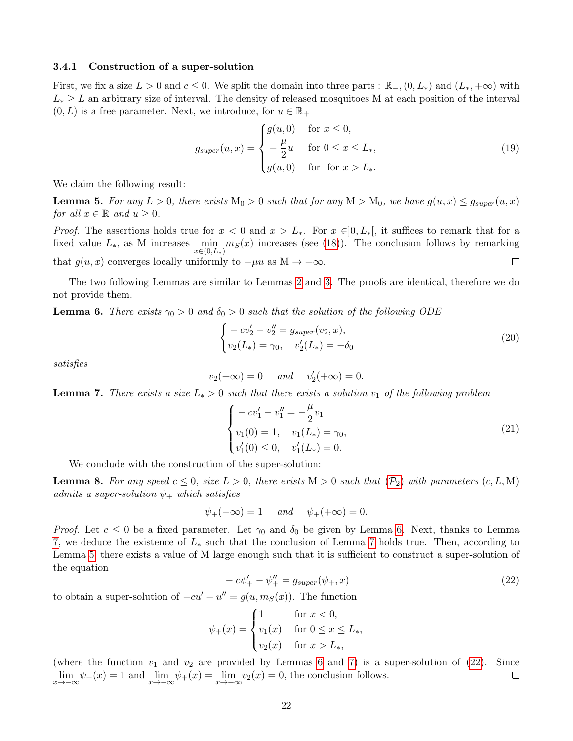# 3.4.1 Construction of a super-solution

First, we fix a size  $L > 0$  and  $c \le 0$ . We split the domain into three parts :  $\mathbb{R}_-, (0, L_*)$  and  $(L_*, +\infty)$  with  $L_* \geq L$  an arbitrary size of interval. The density of released mosquitoes M at each position of the interval  $(0, L)$  is a free parameter. Next, we introduce, for  $u \in \mathbb{R}_+$ 

$$
g_{super}(u,x) = \begin{cases} g(u,0) & \text{for } x \le 0, \\ -\frac{\mu}{2}u & \text{for } 0 \le x \le L_*, \\ g(u,0) & \text{for } \text{for } x > L_*. \end{cases} \tag{19}
$$

We claim the following result:

<span id="page-21-2"></span>**Lemma 5.** For any  $L > 0$ , there exists  $M_0 > 0$  such that for any  $M > M_0$ , we have  $g(u, x) \leq g_{super}(u, x)$ for all  $x \in \mathbb{R}$  and  $u \geq 0$ .

*Proof.* The assertions holds true for  $x < 0$  and  $x > L_*$ . For  $x \in ]0, L_*[$ , it suffices to remark that for a fixed value  $L_*$ , as M increases  $\min_{n \in \mathbb{N}} m_S(x)$  increases (see [\(18\)](#page-18-4)). The conclusion follows by remarking  $x \in (0,L_*)$ that  $g(u, x)$  converges locally uniformly to  $-\mu u$  as  $M \to +\infty$ .  $\Box$ 

The two following Lemmas are similar to Lemmas [2](#page-7-5) and [3.](#page-8-0) The proofs are identical, therefore we do not provide them.

<span id="page-21-0"></span>**Lemma 6.** There exists  $\gamma_0 > 0$  and  $\delta_0 > 0$  such that the solution of the following ODE

$$
\begin{cases}\n-cv_2' - v_2'' = g_{super}(v_2, x), \\
v_2(L_*) = \gamma_0, \quad v_2'(L_*) = -\delta_0\n\end{cases}
$$
\n(20)

satisfies

$$
v_2(+\infty) = 0 \quad \text{and} \quad v_2'(+\infty) = 0.
$$

<span id="page-21-1"></span>**Lemma 7.** There exists a size  $L_* > 0$  such that there exists a solution  $v_1$  of the following problem

$$
\begin{cases}\n-cv_1' - v_1'' = -\frac{\mu}{2}v_1 \\
v_1(0) = 1, \quad v_1(L_*) = \gamma_0, \\
v_1'(0) \le 0, \quad v_1'(L_*) = 0.\n\end{cases}
$$
\n(21)

We conclude with the construction of the super-solution:

<span id="page-21-4"></span>**Lemma 8.** For any speed  $c \leq 0$ , size  $L > 0$ , there exists  $M > 0$  such that  $(\mathcal{P}_2)$  $(\mathcal{P}_2)$  $(\mathcal{P}_2)$  with parameters  $(c, L, M)$ admits a super-solution  $\psi_+$  which satisfies

$$
\psi_+(-\infty) = 1 \quad \text{and} \quad \psi_+(+\infty) = 0.
$$

Proof. Let  $c \le 0$  be a fixed parameter. Let  $\gamma_0$  and  $\delta_0$  be given by Lemma [6.](#page-21-0) Next, thanks to Lemma [7,](#page-21-1) we deduce the existence of  $L_*$  such that the conclusion of Lemma [7](#page-21-1) holds true. Then, according to Lemma [5,](#page-21-2) there exists a value of M large enough such that it is sufficient to construct a super-solution of the equation

<span id="page-21-3"></span>
$$
-c\psi'_{+} - \psi''_{+} = g_{super}(\psi_{+}, x)
$$
\n(22)

to obtain a super-solution of  $-cu' - u'' = g(u, m<sub>S</sub>(x))$ . The function

$$
\psi_{+}(x) = \begin{cases} 1 & \text{for } x < 0, \\ v_{1}(x) & \text{for } 0 \le x \le L_{*}, \\ v_{2}(x) & \text{for } x > L_{*}, \end{cases}
$$

(where the function  $v_1$  and  $v_2$  are provided by Lemmas [6](#page-21-0) and [7\)](#page-21-1) is a super-solution of [\(22\)](#page-21-3). Since  $\lim_{x \to -\infty} \psi_+(x) = 1$  and  $\lim_{x \to +\infty} \psi_+(x) = \lim_{x \to +\infty} \psi_2(x) = 0$ , the conclusion follows.  $\Box$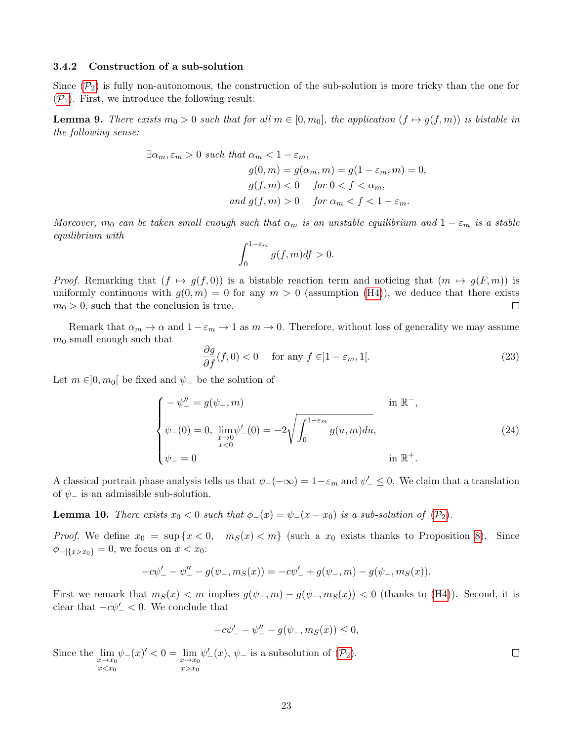# 3.4.2 Construction of a sub-solution

Since  $(\mathcal{P}_2)$  $(\mathcal{P}_2)$  $(\mathcal{P}_2)$  is fully non-autonomous, the construction of the sub-solution is more tricky than the one for  $(\mathcal{P}_1)$  $(\mathcal{P}_1)$  $(\mathcal{P}_1)$ . First, we introduce the following result:

<span id="page-22-1"></span>**Lemma 9.** There exists  $m_0 > 0$  such that for all  $m \in [0, m_0]$ , the application  $(f \mapsto g(f, m))$  is bistable in the following sense:

$$
\exists \alpha_m, \varepsilon_m > 0 \text{ such that } \alpha_m < 1 - \varepsilon_m,
$$
  
\n
$$
g(0, m) = g(\alpha_m, m) = g(1 - \varepsilon_m, m) = 0,
$$
  
\n
$$
g(f, m) < 0 \quad \text{for } 0 < f < \alpha_m,
$$
  
\nand 
$$
g(f, m) > 0 \quad \text{for } \alpha_m < f < 1 - \varepsilon_m.
$$

Moreover,  $m_0$  can be taken small enough such that  $\alpha_m$  is an unstable equilibrium and  $1 - \varepsilon_m$  is a stable equilibrium with

$$
\int_0^{1-\varepsilon_m} g(f,m)df > 0.
$$

*Proof.* Remarking that  $(f \mapsto g(f, 0))$  is a bistable reaction term and noticing that  $(m \mapsto g(F, m))$  is uniformly continuous with  $g(0, m) = 0$  for any  $m > 0$  (assumption [\(H4\)](#page-2-3)), we deduce that there exists  $m_0 > 0$ , such that the conclusion is true.  $\Box$ 

Remark that  $\alpha_m \to \alpha$  and  $1-\varepsilon_m \to 1$  as  $m \to 0$ . Therefore, without loss of generality we may assume  $m_0$  small enough such that

$$
\frac{\partial g}{\partial f}(f,0) < 0 \quad \text{for any } f \in ]1 - \varepsilon_m, 1[.
$$
\n<sup>(23)</sup>

Let  $m \in ]0, m_0[$  be fixed and  $\psi_-$  be the solution of

$$
\begin{cases}\n-\psi''_{-} = g(\psi_{-}, m) & \text{in } \mathbb{R}^-, \\
\psi_{-}(0) = 0, \lim_{\substack{x \to 0 \\ x < 0}} \psi'_{-}(0) = -2 \sqrt{\int_0^{1 - \varepsilon_m} g(u, m) du}, \\
\psi_{-} = 0 & \text{in } \mathbb{R}^+.\n\end{cases}
$$
\n(24)

A classical portrait phase analysis tells us that  $\psi_-(-\infty) = 1 - \varepsilon_m$  and  $\psi'_- \leq 0$ . We claim that a translation of  $\psi$ <sub>−</sub> is an admissible sub-solution.

<span id="page-22-0"></span>**Lemma 10.** There exists  $x_0 < 0$  such that  $\phi_-(x) = \psi_-(x - x_0)$  is a sub-solution of  $(\mathcal{P}_2)$  $(\mathcal{P}_2)$  $(\mathcal{P}_2)$ .

*Proof.* We define  $x_0 = \sup\{x < 0, m_S(x) < m\}$  (such a  $x_0$  exists thanks to Proposition [8\)](#page-18-2). Since  $\phi_{-\vert \{x>x_0\}} = 0$ , we focus on  $x < x_0$ :

$$
-c\psi'_{-} - \psi''_{-} - g(\psi_{-}, m_S(x)) = -c\psi'_{-} + g(\psi_{-}, m) - g(\psi_{-}, m_S(x)).
$$

First we remark that  $m_S(x) < m$  implies  $g(\psi_-, m) - g(\psi_-, m_S(x)) < 0$  (thanks to [\(H4\)](#page-2-3)). Second, it is clear that  $-c\psi'_{-} < 0$ . We conclude that

$$
-c\psi'_{-} - \psi''_{-} - g(\psi_{-}, m_{S}(x)) \leq 0,
$$

Since the  $\lim_{x\to x_0}$  $x \leq x_0$  $\psi_{-}(x)' < 0 = \lim_{x \to x_0}$  $x > x_0$  $\psi'_{-}(x), \psi_{-}$  is a subsolution of  $(\mathcal{P}_2)$  $(\mathcal{P}_2)$  $(\mathcal{P}_2)$ .

 $\Box$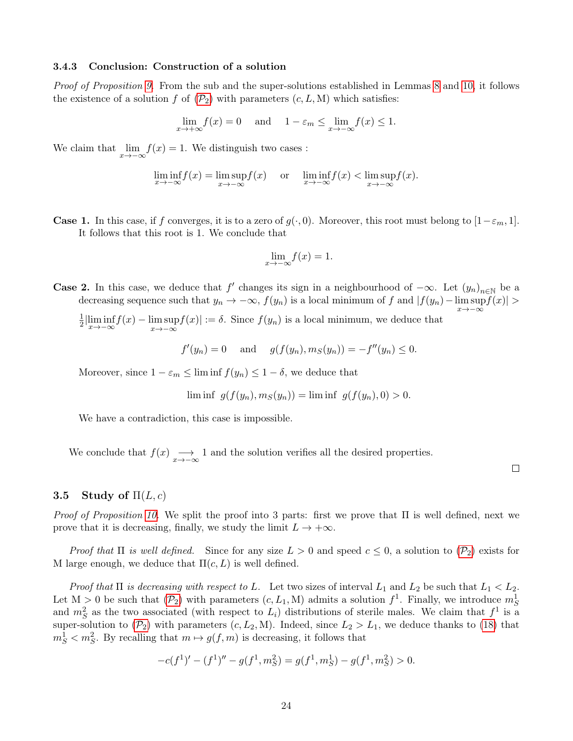# 3.4.3 Conclusion: Construction of a solution

Proof of Proposition [9.](#page-19-1) From the sub and the super-solutions established in Lemmas [8](#page-21-4) and [10,](#page-22-0) it follows the existence of a solution f of  $(\mathcal{P}_2)$  $(\mathcal{P}_2)$  $(\mathcal{P}_2)$  with parameters  $(c, L, M)$  which satisfies:

$$
\lim_{x \to +\infty} f(x) = 0 \quad \text{and} \quad 1 - \varepsilon_m \le \lim_{x \to -\infty} f(x) \le 1.
$$

We claim that  $\lim_{x \to -\infty} f(x) = 1$ . We distinguish two cases :

$$
\liminf_{x \to -\infty} f(x) = \limsup_{x \to -\infty} f(x) \quad \text{or} \quad \liminf_{x \to -\infty} f(x) < \limsup_{x \to -\infty} f(x).
$$

**Case 1.** In this case, if f converges, it is to a zero of  $g(\cdot, 0)$ . Moreover, this root must belong to  $[1-\varepsilon_m, 1]$ . It follows that this root is 1. We conclude that

$$
\lim_{x \to -\infty} f(x) = 1.
$$

**Case 2.** In this case, we deduce that f' changes its sign in a neighbourhood of  $-\infty$ . Let  $(y_n)_{n\in\mathbb{N}}$  be a decreasing sequence such that  $y_n \to -\infty$ ,  $f(y_n)$  is a local minimum of f and  $|f(y_n) - \limsup_{x \to -\infty}$  $|f(x)| >$ 

1  $\frac{1}{2}$ | $\liminf_{x \to -\infty} f(x) - \limsup_{x \to -\infty}$  $\limsup_{x \to -\infty} f(x)$  :=  $\delta$ . Since  $f(y_n)$  is a local minimum, we deduce that

$$
f'(y_n) = 0
$$
 and  $g(f(y_n), m_S(y_n)) = -f''(y_n) \le 0.$ 

Moreover, since  $1 - \varepsilon_m \leq \liminf f(y_n) \leq 1 - \delta$ , we deduce that

$$
\liminf g(f(y_n), m_S(y_n)) = \liminf g(f(y_n), 0) > 0.
$$

We have a contradiction, this case is impossible.

We conclude that  $f(x) \longrightarrow x \rightarrow -\infty$  1 and the solution verifies all the desired properties.

# 3.5 Study of  $\Pi(L, c)$

*Proof of Proposition [10.](#page-19-0)* We split the proof into 3 parts: first we prove that  $\Pi$  is well defined, next we prove that it is decreasing, finally, we study the limit  $L \to +\infty$ .

[P](#page-2-1)roof that  $\Pi$  is well defined. Since for any size  $L > 0$  and speed  $c \leq 0$ , a solution to  $(\mathcal{P}_2)$  exists for M large enough, we deduce that  $\Pi(c, L)$  is well defined.

Proof that  $\Pi$  is decreasing with respect to L. Let two sizes of interval  $L_1$  and  $L_2$  be such that  $L_1 < L_2$ . Let  $M > 0$  be such that  $(\mathcal{P}_2)$  $(\mathcal{P}_2)$  $(\mathcal{P}_2)$  with parameters  $(c, L_1, M)$  admits a solution  $f^1$ . Finally, we introduce  $m_S^1$ and  $m_S^2$  as the two associated (with respect to  $L_i$ ) distributions of sterile males. We claim that  $f^1$  is a super-solution to  $(\mathcal{P}_2)$  $(\mathcal{P}_2)$  $(\mathcal{P}_2)$  with parameters  $(c, L_2, M)$ . Indeed, since  $L_2 > L_1$ , we deduce thanks to [\(18\)](#page-18-4) that  $m_S^1 < m_S^2$ . By recalling that  $m \mapsto g(f, m)$  is decreasing, it follows that

$$
-c(f1)' - (f1)'' - g(f1, mS2) = g(f1, mS1) - g(f1, mS2) > 0.
$$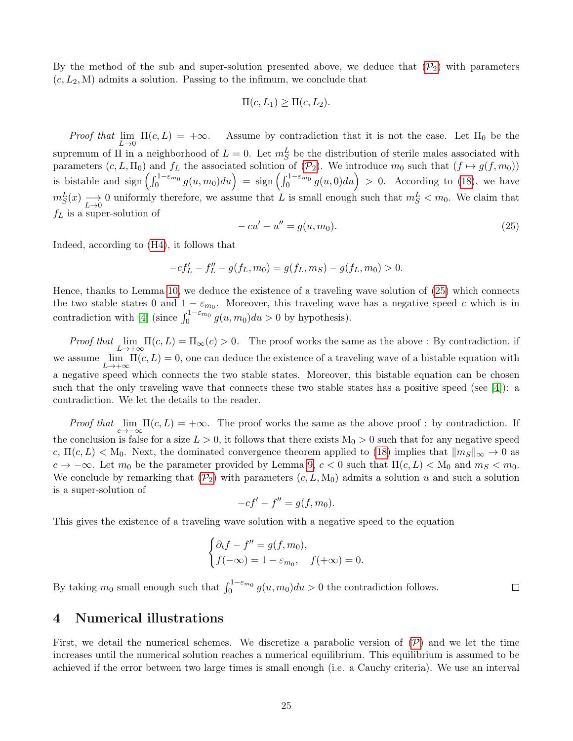By the method of the sub and super-solution presented above, we deduce that  $(\mathcal{P}_2)$  $(\mathcal{P}_2)$  $(\mathcal{P}_2)$  with parameters  $(c, L_2, M)$  admits a solution. Passing to the infimum, we conclude that

$$
\Pi(c, L_1) \ge \Pi(c, L_2).
$$

Proof that  $\lim_{L\to 0} \Pi(c,L) = +\infty$ . Assume by contradiction that it is not the case. Let  $\Pi_0$  be the supremum of  $\Pi$  in a neighborhood of  $L = 0$ . Let  $m_S^L$  be the distribution of sterile males associated with parameters  $(c, L, \Pi_0)$  $(c, L, \Pi_0)$  $(c, L, \Pi_0)$  and  $f_L$  the associated solution of  $(\mathcal{P}_2)$ . We introduce  $m_0$  such that  $(f \mapsto g(f, m_0))$ is bistable and sign  $\left(\int_0^{1-\varepsilon_{m_0}} g(u, m_0) du\right) = \text{sign}\left(\int_0^{1-\varepsilon_{m_0}} g(u, 0) du\right) > 0$ . According to [\(18\)](#page-18-4), we have  $m_S^L(x) \longrightarrow 0$  uniformly therefore, we assume that L is small enough such that  $m_S^L < m_0$ . We claim that  $f_L$  is a super-solution of

<span id="page-24-1"></span>
$$
-cu' - u'' = g(u, m_0).
$$
\n(25)

Indeed, according to [\(H4\)](#page-2-3), it follows that

$$
-cf'_L - f''_L - g(f_L, m_0) = g(f_L, m_S) - g(f_L, m_0) > 0.
$$

Hence, thanks to Lemma [10,](#page-22-0) we deduce the existence of a traveling wave solution of [\(25\)](#page-24-1) which connects the two stable states 0 and  $1 - \varepsilon_{m_0}$ . Moreover, this traveling wave has a negative speed c which is in contradiction with [\[4\]](#page-28-7) (since  $\int_0^{1-\varepsilon m_0} g(u, m_0) du > 0$  by hypothesis).

Proof that  $\lim_{\epsilon \to 0} \Pi(c, L) = \Pi_{\infty}(c) > 0$ . The proof works the same as the above : By contradiction, if  $L\rightarrow+\infty$ we assume  $\lim_{L\to+\infty} \Pi(c,L) = 0$ , one can deduce the existence of a traveling wave of a bistable equation with a negative speed which connects the two stable states. Moreover, this bistable equation can be chosen such that the only traveling wave that connects these two stable states has a positive speed (see [\[4\]](#page-28-7)): a contradiction. We let the details to the reader.

Proof that  $\lim_{c\to-\infty} \Pi(c,L) = +\infty$ . The proof works the same as the above proof : by contradiction. If the conclusion is false for a size  $L > 0$ , it follows that there exists  $M_0 > 0$  such that for any negative speed c,  $\Pi(c, L) < M_0$ . Next, the dominated convergence theorem applied to [\(18\)](#page-18-4) implies that  $\|m_S\|_{\infty} \to 0$  as  $c \to -\infty$ . Let  $m_0$  be the parameter provided by Lemma [9,](#page-22-1)  $c < 0$  such that  $\Pi(c, L) < M_0$  and  $m_S < m_0$ . We conclude by remarking that  $(\mathcal{P}_2)$  $(\mathcal{P}_2)$  $(\mathcal{P}_2)$  with parameters  $(c, L, M_0)$  admits a solution u and such a solution is a super-solution of

$$
-cf' - f'' = g(f, m_0).
$$

This gives the existence of a traveling wave solution with a negative speed to the equation

$$
\begin{cases} \partial_t f - f'' = g(f, m_0), \\ f(-\infty) = 1 - \varepsilon_{m_0}, \quad f(+\infty) = 0. \end{cases}
$$

By taking  $m_0$  small enough such that  $\int_0^{1-\varepsilon m_0} g(u, m_0) du > 0$  the contradiction follows.

# <span id="page-24-0"></span>4 Numerical illustrations

First, we detail the numerical schemes. We discretize a parabolic version of  $(\mathcal{P})$  $(\mathcal{P})$  $(\mathcal{P})$  and we let the time increases until the numerical solution reaches a numerical equilibrium. This equilibrium is assumed to be achieved if the error between two large times is small enough (i.e. a Cauchy criteria). We use an interval

 $\Box$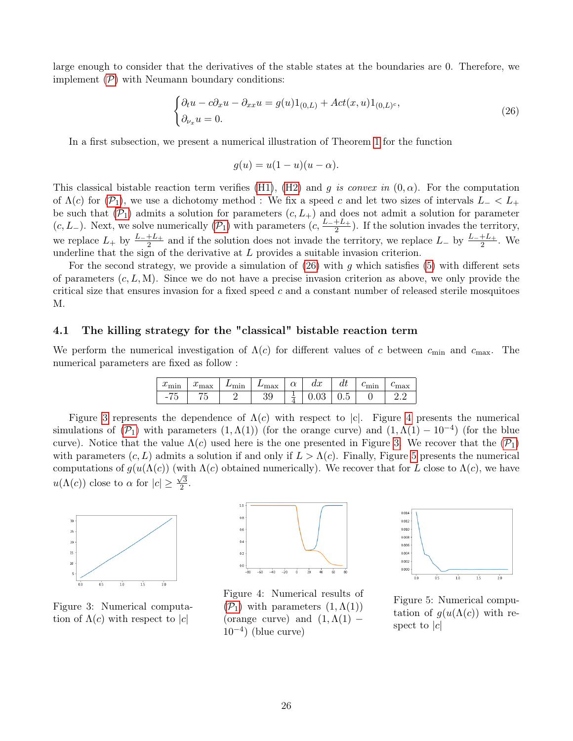large enough to consider that the derivatives of the stable states at the boundaries are 0. Therefore, we implement  $(\mathcal{P})$  $(\mathcal{P})$  $(\mathcal{P})$  with Neumann boundary conditions:

<span id="page-25-0"></span>
$$
\begin{cases} \partial_t u - c \partial_x u - \partial_{xx} u = g(u) 1_{(0,L)} + Act(x, u) 1_{(0,L)^c}, \\ \partial_{\nu_x} u = 0. \end{cases}
$$
 (26)

In a first subsection, we present a numerical illustration of Theorem [1](#page-3-0) for the function

$$
g(u) = u(1 - u)(u - \alpha).
$$

This classical bistable reaction term verifies [\(H1\)](#page-1-0), [\(H2\)](#page-2-5) and g is convex in  $(0, \alpha)$ . For the computation of  $\Lambda(c)$  for  $(\mathcal{P}_1)$  $(\mathcal{P}_1)$  $(\mathcal{P}_1)$ , we use a dichotomy method : We fix a speed c and let two sizes of intervals  $L< L_+$ be such that  $(\mathcal{P}_1)$  $(\mathcal{P}_1)$  $(\mathcal{P}_1)$  admits a solution for parameters  $(c, L_+)$  and does not admit a solution for parameter  $(c, L_{-})$ . Next, we solve numerically  $(\mathcal{P}_1)$  $(\mathcal{P}_1)$  $(\mathcal{P}_1)$  with parameters  $(c, \frac{L_{-}+L_{+}}{2})$  $\frac{+L_{+}}{2}$ ). If the solution invades the territory, we replace  $L_+$  by  $\frac{L_-+L_+}{2}$  and if the solution does not invade the territory, we replace  $L_-$  by  $\frac{L_-+L_+}{2}$ . We underline that the sign of the derivative at  $L$  provides a suitable invasion criterion.

For the second strategy, we provide a simulation of  $(26)$  with q which satisfies [\(5\)](#page-2-7) with different sets of parameters  $(c, L, M)$ . Since we do not have a precise invasion criterion as above, we only provide the critical size that ensures invasion for a fixed speed  $c$  and a constant number of released sterile mosquitoes M.

# 4.1 The killing strategy for the "classical" bistable reaction term

We perform the numerical investigation of  $\Lambda(c)$  for different values of c between  $c_{\min}$  and  $c_{\max}$ . The numerical parameters are fixed as follow :

| $\sim$<br>$\omega_{\rm min}$            | $\sim$<br>$\omega$ max | 'mın | max      | ⌒<br>u | $\alpha$<br>uit | uı       | $\mathfrak{c}_{\text{min}}$ | $\epsilon_{\rm max}$ |
|-----------------------------------------|------------------------|------|----------|--------|-----------------|----------|-----------------------------|----------------------|
| $- -$<br>$\overline{\phantom{0}}$<br>್ರ | --                     |      | ററ<br>აყ |        | v.vo            | -<br>v.u |                             | ∠.                   |

Figure [3](#page-25-1) represents the dependence of  $\Lambda(c)$  with respect to |c|. Figure [4](#page-25-2) presents the numerical simulations of  $(\mathcal{P}_1)$  $(\mathcal{P}_1)$  $(\mathcal{P}_1)$  with parameters  $(1, \Lambda(1))$  (for the orange curve) and  $(1, \Lambda(1) - 10^{-4})$  (for the blue curve). Notice that the value  $\Lambda(c)$  used here is the one presented in Figure [3.](#page-25-1) We recover that the  $(\mathcal{P}_1)$  $(\mathcal{P}_1)$  $(\mathcal{P}_1)$ with parameters  $(c, L)$  admits a solution if and only if  $L > \Lambda(c)$ . Finally, Figure [5](#page-25-3) presents the numerical computations of  $g(u(\Lambda(c))$  (with  $\Lambda(c)$  obtained numerically). We recover that for L close to  $\Lambda(c)$ , we have  $u(\Lambda(c))$  close to  $\alpha$  for  $|c| \geq \frac{\sqrt{3}}{2}$  $\frac{2}{2}$ .



<span id="page-25-1"></span>Figure 3: Numerical computation of  $\Lambda(c)$  with respect to |c|



<span id="page-25-2"></span>Figure 4: Numerical results of  $(\mathcal{P}_1)$  $(\mathcal{P}_1)$  $(\mathcal{P}_1)$  with parameters  $(1,\Lambda(1))$ (orange curve) and  $(1, \Lambda(1)$  –  $10^{-4}$ ) (blue curve)



<span id="page-25-3"></span>Figure 5: Numerical computation of  $g(u(\Lambda(c)))$  with respect to  $|c|$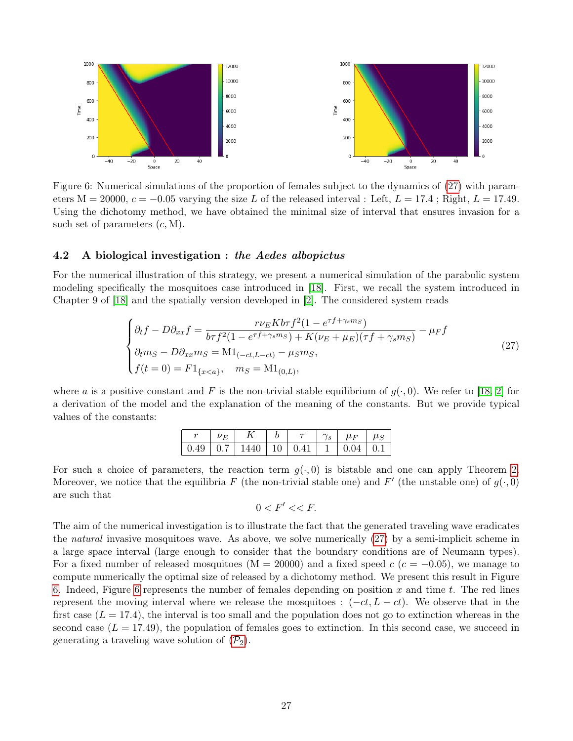

<span id="page-26-1"></span>Figure 6: Numerical simulations of the proportion of females subject to the dynamics of [\(27\)](#page-26-0) with parameters  $M = 20000$ ,  $c = -0.05$  varying the size L of the released interval : Left,  $L = 17.4$ ; Right,  $L = 17.49$ . Using the dichotomy method, we have obtained the minimal size of interval that ensures invasion for a such set of parameters  $(c, M)$ .

### 4.2 A biological investigation : the Aedes albopictus

For the numerical illustration of this strategy, we present a numerical simulation of the parabolic system modeling specifically the mosquitoes case introduced in [\[18\]](#page-28-17). First, we recall the system introduced in Chapter 9 of [\[18\]](#page-28-17) and the spatially version developed in [\[2\]](#page-28-5). The considered system reads

<span id="page-26-0"></span>
$$
\begin{cases}\n\partial_t f - D \partial_{xx} f = \frac{r \nu_E K b \tau f^2 (1 - e^{\tau f + \gamma_s m_S})}{b \tau f^2 (1 - e^{\tau f + \gamma_s m_S}) + K (\nu_E + \mu_E) (\tau f + \gamma_s m_S)} - \mu_F f \\
\partial_t m_S - D \partial_{xx} m_S = M 1_{(-ct, L - ct)} - \mu_S m_S, \\
f(t = 0) = F 1_{\{x < a\}}, \quad m_S = M 1_{(0, L)},\n\end{cases} \tag{27}
$$

where a is a positive constant and F is the non-trivial stable equilibrium of  $g(\cdot, 0)$ . We refer to [\[18,](#page-28-17) [2\]](#page-28-5) for a derivation of the model and the explanation of the meaning of the constants. But we provide typical values of the constants:

| $ V_F $ | $\mid K \mid b$                                                                          |  | $\tau$   $\gamma_s$   $\mu_F$   $\mu_S$ |  |
|---------|------------------------------------------------------------------------------------------|--|-----------------------------------------|--|
|         | $\mid$ 0.49 $\mid$ 0.7 $\mid$ 1440 $\mid$ 10 $\mid$ 0.41 $\mid$ 1 $\mid$ 0.04 $\mid$ 0.1 |  |                                         |  |

For such a choice of parameters, the reaction term  $g(\cdot, 0)$  is bistable and one can apply Theorem [2.](#page-4-0) Moreover, we notice that the equilibria F (the non-trivial stable one) and F' (the unstable one) of  $g(\cdot, 0)$ are such that

$$
0
$$

The aim of the numerical investigation is to illustrate the fact that the generated traveling wave eradicates the natural invasive mosquitoes wave. As above, we solve numerically [\(27\)](#page-26-0) by a semi-implicit scheme in a large space interval (large enough to consider that the boundary conditions are of Neumann types). For a fixed number of released mosquitoes ( $M = 20000$ ) and a fixed speed c ( $c = -0.05$ ), we manage to compute numerically the optimal size of released by a dichotomy method. We present this result in Figure [6.](#page-26-1) Indeed, Figure [6](#page-26-1) represents the number of females depending on position x and time t. The red lines represent the moving interval where we release the mosquitoes :  $(-ct, L - ct)$ . We observe that in the first case  $(L = 17.4)$ , the interval is too small and the population does not go to extinction whereas in the second case  $(L = 17.49)$ , the population of females goes to extinction. In this second case, we succeed in generating a traveling wave solution of  $(\mathcal{P}_2)$  $(\mathcal{P}_2)$  $(\mathcal{P}_2)$ .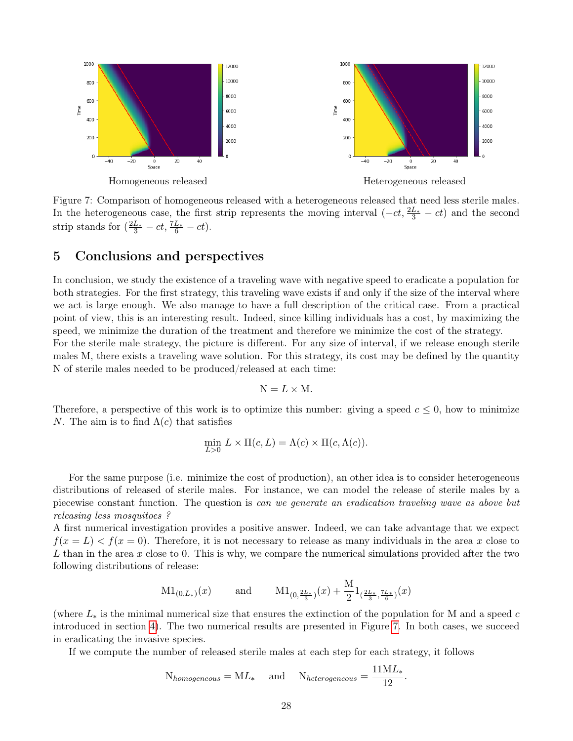

<span id="page-27-1"></span>Figure 7: Comparison of homogeneous released with a heterogeneous released that need less sterile males. In the heterogeneous case, the first strip represents the moving interval  $(-ct, \frac{2L_*}{3} - ct)$  and the second strip stands for  $\left(\frac{2L_*}{3} - ct, \frac{7L_*}{6} - ct\right)$ .

# <span id="page-27-0"></span>5 Conclusions and perspectives

In conclusion, we study the existence of a traveling wave with negative speed to eradicate a population for both strategies. For the first strategy, this traveling wave exists if and only if the size of the interval where we act is large enough. We also manage to have a full description of the critical case. From a practical point of view, this is an interesting result. Indeed, since killing individuals has a cost, by maximizing the speed, we minimize the duration of the treatment and therefore we minimize the cost of the strategy. For the sterile male strategy, the picture is different. For any size of interval, if we release enough sterile

males M, there exists a traveling wave solution. For this strategy, its cost may be defined by the quantity N of sterile males needed to be produced/released at each time:

$$
N = L \times M.
$$

Therefore, a perspective of this work is to optimize this number: giving a speed  $c \leq 0$ , how to minimize N. The aim is to find  $\Lambda(c)$  that satisfies

$$
\min_{L>0} L \times \Pi(c, L) = \Lambda(c) \times \Pi(c, \Lambda(c)).
$$

For the same purpose (i.e. minimize the cost of production), an other idea is to consider heterogeneous distributions of released of sterile males. For instance, we can model the release of sterile males by a piecewise constant function. The question is can we generate an eradication traveling wave as above but releasing less mosquitoes ?

A first numerical investigation provides a positive answer. Indeed, we can take advantage that we expect  $f(x = L) < f(x = 0)$ . Therefore, it is not necessary to release as many individuals in the area x close to L than in the area x close to 0. This is why, we compare the numerical simulations provided after the two following distributions of release:

$$
\mathrm{M1}_{(0,L_*)}(x)
$$
 and  $\mathrm{M1}_{(0,\frac{2L_*}{3})}(x) + \frac{M}{2}1_{(\frac{2L_*}{3},\frac{7L_*}{6})}(x)$ 

(where  $L_*$  is the minimal numerical size that ensures the extinction of the population for M and a speed c introduced in section [4\)](#page-24-0). The two numerical results are presented in Figure [7.](#page-27-1) In both cases, we succeed in eradicating the invasive species.

If we compute the number of released sterile males at each step for each strategy, it follows

$$
N_{homogeneous} = ML_{*}
$$
 and  $N_{heterogeneous} = \frac{11ML_{*}}{12}$ .

11ML<sup>∗</sup>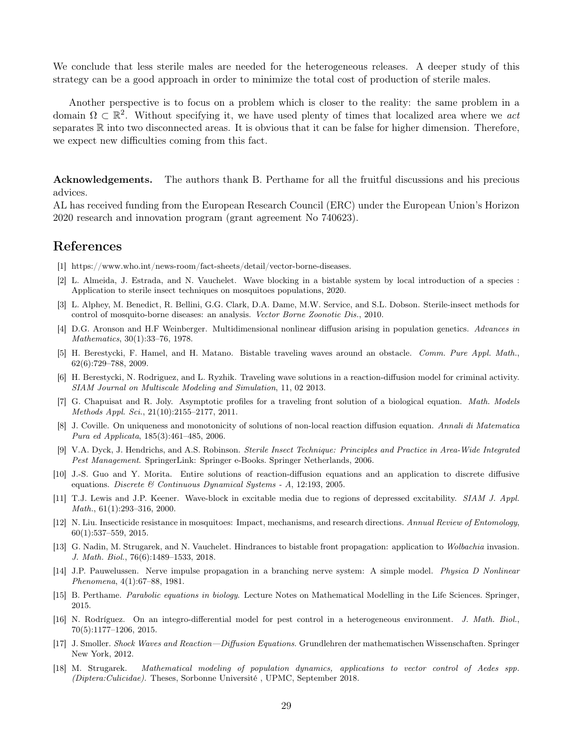We conclude that less sterile males are needed for the heterogeneous releases. A deeper study of this strategy can be a good approach in order to minimize the total cost of production of sterile males.

Another perspective is to focus on a problem which is closer to the reality: the same problem in a domain  $\Omega \subset \mathbb{R}^2$ . Without specifying it, we have used plenty of times that localized area where we act separates  $\mathbb R$  into two disconnected areas. It is obvious that it can be false for higher dimension. Therefore, we expect new difficulties coming from this fact.

Acknowledgements. The authors thank B. Perthame for all the fruitful discussions and his precious advices.

AL has received funding from the European Research Council (ERC) under the European Union's Horizon 2020 research and innovation program (grant agreement No 740623).

# References

- <span id="page-28-1"></span>[1] https://www.who.int/news-room/fact-sheets/detail/vector-borne-diseases.
- <span id="page-28-5"></span>[2] L. Almeida, J. Estrada, and N. Vauchelet. Wave blocking in a bistable system by local introduction of a species : Application to sterile insect techniques on mosquitoes populations, 2020.
- <span id="page-28-3"></span>[3] L. Alphey, M. Benedict, R. Bellini, G.G. Clark, D.A. Dame, M.W. Service, and S.L. Dobson. Sterile-insect methods for control of mosquito-borne diseases: an analysis. Vector Borne Zoonotic Dis., 2010.
- <span id="page-28-7"></span>[4] D.G. Aronson and H.F Weinberger. Multidimensional nonlinear diffusion arising in population genetics. Advances in Mathematics, 30(1):33–76, 1978.
- <span id="page-28-8"></span>[5] H. Berestycki, F. Hamel, and H. Matano. Bistable traveling waves around an obstacle. Comm. Pure Appl. Math., 62(6):729–788, 2009.
- <span id="page-28-6"></span>[6] H. Berestycki, N. Rodriguez, and L. Ryzhik. Traveling wave solutions in a reaction-diffusion model for criminal activity. SIAM Journal on Multiscale Modeling and Simulation, 11, 02 2013.
- <span id="page-28-11"></span>[7] G. Chapuisat and R. Joly. Asymptotic profiles for a traveling front solution of a biological equation. Math. Models Methods Appl. Sci., 21(10):2155–2177, 2011.
- <span id="page-28-15"></span>[8] J. Coville. On uniqueness and monotonicity of solutions of non-local reaction diffusion equation. Annali di Matematica Pura ed Applicata, 185(3):461–485, 2006.
- <span id="page-28-2"></span>[9] V.A. Dyck, J. Hendrichs, and A.S. Robinson. Sterile Insect Technique: Principles and Practice in Area-Wide Integrated Pest Management. SpringerLink: Springer e-Books. Springer Netherlands, 2006.
- <span id="page-28-16"></span>[10] J.-S. Guo and Y. Morita. Entire solutions of reaction-diffusion equations and an application to discrete diffusive equations. Discrete & Continuous Dynamical Systems - A, 12:193, 2005.
- <span id="page-28-9"></span>[11] T.J. Lewis and J.P. Keener. Wave-block in excitable media due to regions of depressed excitability. SIAM J. Appl. Math., 61(1):293–316, 2000.
- <span id="page-28-4"></span>[12] N. Liu. Insecticide resistance in mosquitoes: Impact, mechanisms, and research directions. Annual Review of Entomology, 60(1):537–559, 2015.
- <span id="page-28-12"></span>[13] G. Nadin, M. Strugarek, and N. Vauchelet. Hindrances to bistable front propagation: application to Wolbachia invasion. J. Math. Biol., 76(6):1489–1533, 2018.
- <span id="page-28-10"></span>[14] J.P. Pauwelussen. Nerve impulse propagation in a branching nerve system: A simple model. Physica D Nonlinear Phenomena, 4(1):67–88, 1981.
- <span id="page-28-0"></span>[15] B. Perthame. Parabolic equations in biology. Lecture Notes on Mathematical Modelling in the Life Sciences. Springer, 2015.
- <span id="page-28-13"></span>[16] N. Rodríguez. On an integro-differential model for pest control in a heterogeneous environment. J. Math. Biol., 70(5):1177–1206, 2015.
- <span id="page-28-14"></span>[17] J. Smoller. Shock Waves and Reaction—Diffusion Equations. Grundlehren der mathematischen Wissenschaften. Springer New York, 2012.
- <span id="page-28-17"></span>[18] M. Strugarek. Mathematical modeling of population dynamics, applications to vector control of Aedes spp. (Diptera:Culicidae). Theses, Sorbonne Université , UPMC, September 2018.